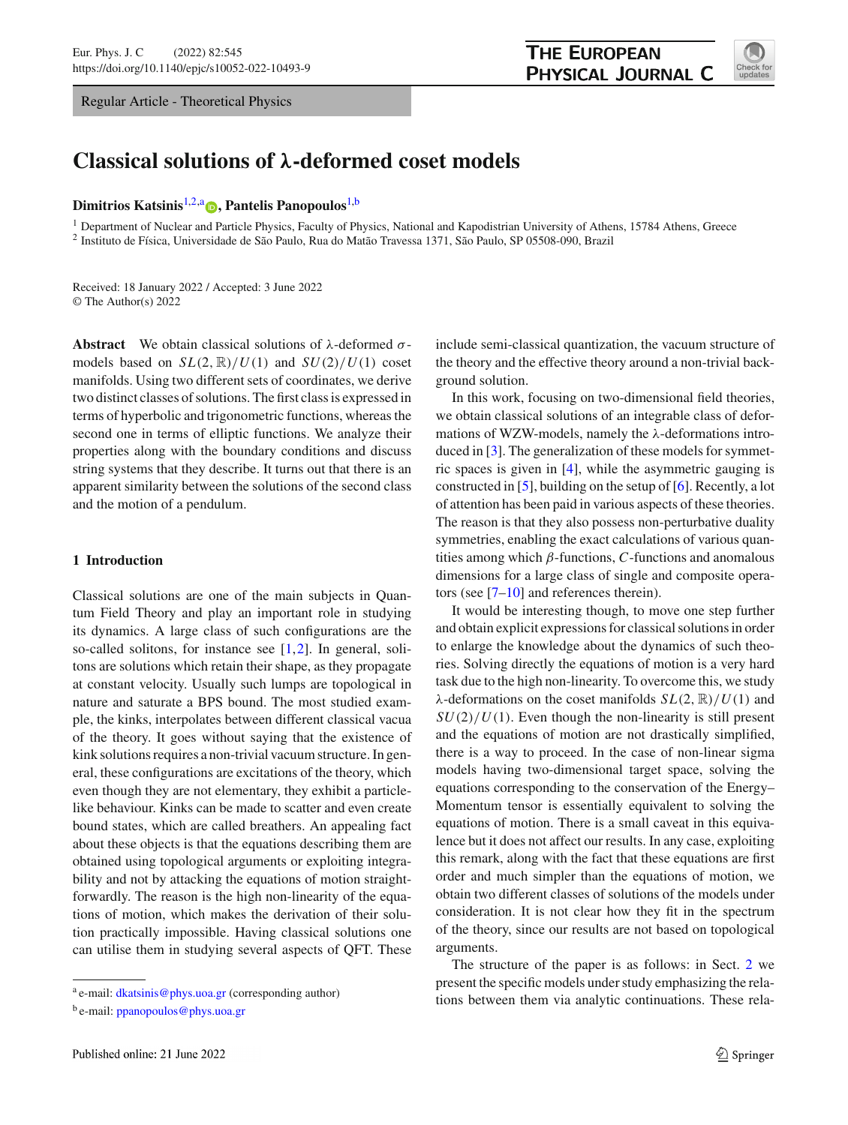Regular Article - Theoretical Physics

<span id="page-0-0"></span>

# **Classical solutions of** *λ***-deformed coset models**

## **Dimitrios Katsinis**[1,2,](#page-0-0)a **[,](http://orcid.org/0000-0001-5607-9625) Pantelis Panopoulos**[1,](#page-0-0)b

<sup>1</sup> Department of Nuclear and Particle Physics, Faculty of Physics, National and Kapodistrian University of Athens, 15784 Athens, Greece <sup>2</sup> Instituto de Física, Universidade de São Paulo, Rua do Matão Travessa 1371, São Paulo, SP 05508-090, Brazil

Received: 18 January 2022 / Accepted: 3 June 2022 © The Author(s) 2022

**Abstract** We obtain classical solutions of  $\lambda$ -deformed  $\sigma$ models based on  $SL(2, \mathbb{R})/U(1)$  and  $SU(2)/U(1)$  coset manifolds. Using two different sets of coordinates, we derive two distinct classes of solutions. The first class is expressed in terms of hyperbolic and trigonometric functions, whereas the second one in terms of elliptic functions. We analyze their properties along with the boundary conditions and discuss string systems that they describe. It turns out that there is an apparent similarity between the solutions of the second class and the motion of a pendulum.

# **1 Introduction**

Classical solutions are one of the main subjects in Quantum Field Theory and play an important role in studying its dynamics. A large class of such configurations are the so-called solitons, for instance see  $[1,2]$  $[1,2]$  $[1,2]$ . In general, solitons are solutions which retain their shape, as they propagate at constant velocity. Usually such lumps are topological in nature and saturate a BPS bound. The most studied example, the kinks, interpolates between different classical vacua of the theory. It goes without saying that the existence of kink solutions requires a non-trivial vacuum structure. In general, these configurations are excitations of the theory, which even though they are not elementary, they exhibit a particlelike behaviour. Kinks can be made to scatter and even create bound states, which are called breathers. An appealing fact about these objects is that the equations describing them are obtained using topological arguments or exploiting integrability and not by attacking the equations of motion straightforwardly. The reason is the high non-linearity of the equations of motion, which makes the derivation of their solution practically impossible. Having classical solutions one can utilise them in studying several aspects of QFT. These include semi-classical quantization, the vacuum structure of the theory and the effective theory around a non-trivial background solution.

In this work, focusing on two-dimensional field theories, we obtain classical solutions of an integrable class of deformations of WZW-models, namely the λ-deformations introduced in [\[3\]](#page-21-0). The generalization of these models for symmetric spaces is given in [\[4](#page-21-1)], while the asymmetric gauging is constructed in [\[5\]](#page-21-2), building on the setup of [\[6\]](#page-21-3). Recently, a lot of attention has been paid in various aspects of these theories. The reason is that they also possess non-perturbative duality symmetries, enabling the exact calculations of various quantities among which  $\beta$ -functions,  $C$ -functions and anomalous dimensions for a large class of single and composite operators (see  $[7-10]$  $[7-10]$  and references therein).

It would be interesting though, to move one step further and obtain explicit expressions for classical solutions in order to enlarge the knowledge about the dynamics of such theories. Solving directly the equations of motion is a very hard task due to the high non-linearity. To overcome this, we study λ-deformations on the coset manifolds  $SL(2, \mathbb{R})/U(1)$  and  $SU(2)/U(1)$ . Even though the non-linearity is still present and the equations of motion are not drastically simplified, there is a way to proceed. In the case of non-linear sigma models having two-dimensional target space, solving the equations corresponding to the conservation of the Energy– Momentum tensor is essentially equivalent to solving the equations of motion. There is a small caveat in this equivalence but it does not affect our results. In any case, exploiting this remark, along with the fact that these equations are first order and much simpler than the equations of motion, we obtain two different classes of solutions of the models under consideration. It is not clear how they fit in the spectrum of the theory, since our results are not based on topological arguments.

The structure of the paper is as follows: in Sect. [2](#page-1-0) we present the specific models under study emphasizing the relations between them via analytic continuations. These rela-

<sup>a</sup> e-mail: [dkatsinis@phys.uoa.gr](mailto:dkatsinis@phys.uoa.gr) (corresponding author)

<sup>b</sup> e-mail: [ppanopoulos@phys.uoa.gr](mailto:ppanopoulos@phys.uoa.gr)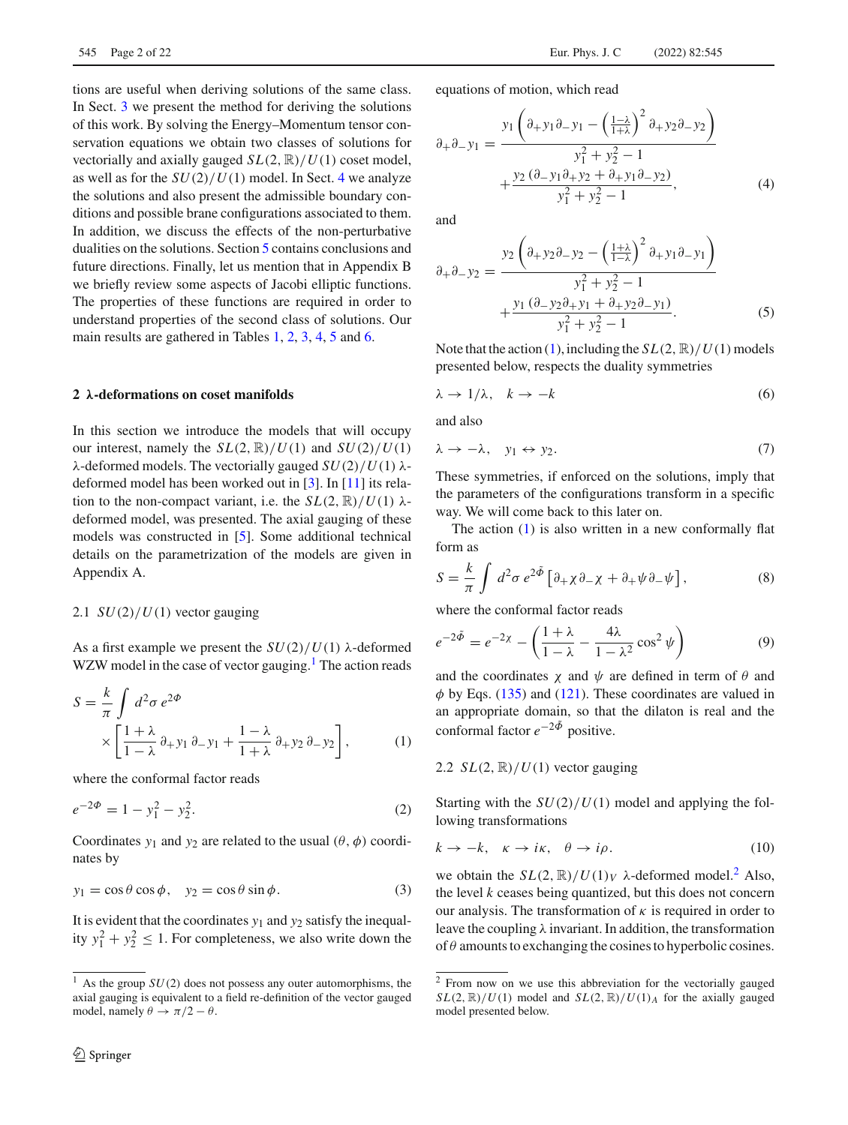tions are useful when deriving solutions of the same class. In Sect. [3](#page-2-0) we present the method for deriving the solutions of this work. By solving the Energy–Momentum tensor conservation equations we obtain two classes of solutions for vectorially and axially gauged *SL*(2, R)/*U*(1) coset model, as well as for the  $SU(2)/U(1)$  model. In Sect. [4](#page-6-0) we analyze the solutions and also present the admissible boundary conditions and possible brane configurations associated to them. In addition, we discuss the effects of the non-perturbative dualities on the solutions. Section [5](#page-16-0) contains conclusions and future directions. Finally, let us mention that in Appendix B we briefly review some aspects of Jacobi elliptic functions. The properties of these functions are required in order to understand properties of the second class of solutions. Our main results are gathered in Tables [1,](#page-4-0) [2,](#page-5-0) [3,](#page-5-1) [4,](#page-7-0) [5](#page-7-1) and [6.](#page-8-0)

# <span id="page-1-0"></span>**2** *λ***-deformations on coset manifolds**

In this section we introduce the models that will occupy our interest, namely the  $SL(2, \mathbb{R})/U(1)$  and  $SU(2)/U(1)$ λ-deformed models. The vectorially gauged *SU*(2)/*U*(1) λdeformed model has been worked out in [\[3](#page-21-0)]. In [\[11](#page-21-6)] its relation to the non-compact variant, i.e. the  $SL(2, \mathbb{R})/U(1)$   $\lambda$ deformed model, was presented. The axial gauging of these models was constructed in [\[5\]](#page-21-2). Some additional technical details on the parametrization of the models are given in Appendix A.

# 2.1  $SU(2)/U(1)$  vector gauging

As a first example we present the  $SU(2)/U(1)$   $\lambda$ -deformed WZW model in the case of vector gauging.<sup>1</sup> The action reads

<span id="page-1-2"></span>
$$
S = \frac{k}{\pi} \int d^2 \sigma \, e^{2\Phi} \times \left[ \frac{1 + \lambda}{1 - \lambda} \partial_+ y_1 \partial_- y_1 + \frac{1 - \lambda}{1 + \lambda} \partial_+ y_2 \partial_- y_2 \right],\tag{1}
$$

where the conformal factor reads

$$
e^{-2\Phi} = 1 - y_1^2 - y_2^2. \tag{2}
$$

Coordinates  $y_1$  and  $y_2$  are related to the usual  $(\theta, \phi)$  coordinates by

<span id="page-1-9"></span>
$$
y_1 = \cos \theta \cos \phi, \quad y_2 = \cos \theta \sin \phi. \tag{3}
$$

It is evident that the coordinates *y*<sup>1</sup> and *y*<sup>2</sup> satisfy the inequality  $y_1^2 + y_2^2 \le 1$ . For completeness, we also write down the equations of motion, which read

<span id="page-1-4"></span>
$$
\partial_{+}\partial_{-}y_{1} = \frac{y_{1}\left(\partial_{+}y_{1}\partial_{-}y_{1} - \left(\frac{1-\lambda}{1+\lambda}\right)^{2}\partial_{+}y_{2}\partial_{-}y_{2}\right)}{y_{1}^{2} + y_{2}^{2} - 1} + \frac{y_{2}\left(\partial_{-}y_{1}\partial_{+}y_{2} + \partial_{+}y_{1}\partial_{-}y_{2}\right)}{y_{1}^{2} + y_{2}^{2} - 1},
$$
\n(4)

and

<span id="page-1-5"></span>
$$
\partial_{+}\partial_{-}y_{2} = \frac{y_{2}\left(\partial_{+}y_{2}\partial_{-}y_{2} - \left(\frac{1+\lambda}{1-\lambda}\right)^{2}\partial_{+}y_{1}\partial_{-}y_{1}\right)}{y_{1}^{2} + y_{2}^{2} - 1} + \frac{y_{1}\left(\partial_{-}y_{2}\partial_{+}y_{1} + \partial_{+}y_{2}\partial_{-}y_{1}\right)}{y_{1}^{2} + y_{2}^{2} - 1}.
$$
\n(5)

Note that the action [\(1\)](#page-1-2), including the  $SL(2, \mathbb{R})/U(1)$  models presented below, respects the duality symmetries

<span id="page-1-7"></span>
$$
\lambda \to 1/\lambda, \quad k \to -k \tag{6}
$$

and also

<span id="page-1-8"></span>
$$
\lambda \to -\lambda, \quad y_1 \leftrightarrow y_2. \tag{7}
$$

These symmetries, if enforced on the solutions, imply that the parameters of the configurations transform in a specific way. We will come back to this later on.

The action  $(1)$  is also written in a new conformally flat form as

<span id="page-1-6"></span>
$$
S = \frac{k}{\pi} \int d^2 \sigma \, e^{2\tilde{\Phi}} \left[ \partial_+ \chi \partial_- \chi + \partial_+ \psi \partial_- \psi \right],\tag{8}
$$

where the conformal factor reads

$$
e^{-2\tilde{\Phi}} = e^{-2\chi} - \left(\frac{1+\lambda}{1-\lambda} - \frac{4\lambda}{1-\lambda^2}\cos^2\psi\right)
$$
(9)

and the coordinates  $\chi$  and  $\psi$  are defined in term of  $\theta$  and  $\phi$  by Eqs. [\(135\)](#page-19-0) and [\(121\)](#page-18-0). These coordinates are valued in an appropriate domain, so that the dilaton is real and the conformal factor  $e^{-2\tilde{\Phi}}$  positive.

2.2  $SL(2, \mathbb{R})/U(1)$  vector gauging

Starting with the *SU*(2)/*U*(1) model and applying the following transformations

<span id="page-1-10"></span>
$$
k \to -k, \quad \kappa \to i\kappa, \quad \theta \to i\rho. \tag{10}
$$

we obtain the  $SL(2, \mathbb{R})/U(1)_V$   $\lambda$ -deformed model.<sup>2</sup> Also, the level *k* ceases being quantized, but this does not concern our analysis. The transformation of  $\kappa$  is required in order to leave the coupling  $\lambda$  invariant. In addition, the transformation of  $\theta$  amounts to exchanging the cosines to hyperbolic cosines.

<span id="page-1-1"></span><sup>1</sup> As the group *SU*(2) does not possess any outer automorphisms, the axial gauging is equivalent to a field re-definition of the vector gauged model, namely  $\theta \to \pi/2 - \theta$ .

<span id="page-1-3"></span><sup>2</sup> From now on we use this abbreviation for the vectorially gauged  $SL(2, \mathbb{R})/U(1)$  model and  $SL(2, \mathbb{R})/U(1)$ *A* for the axially gauged model presented below.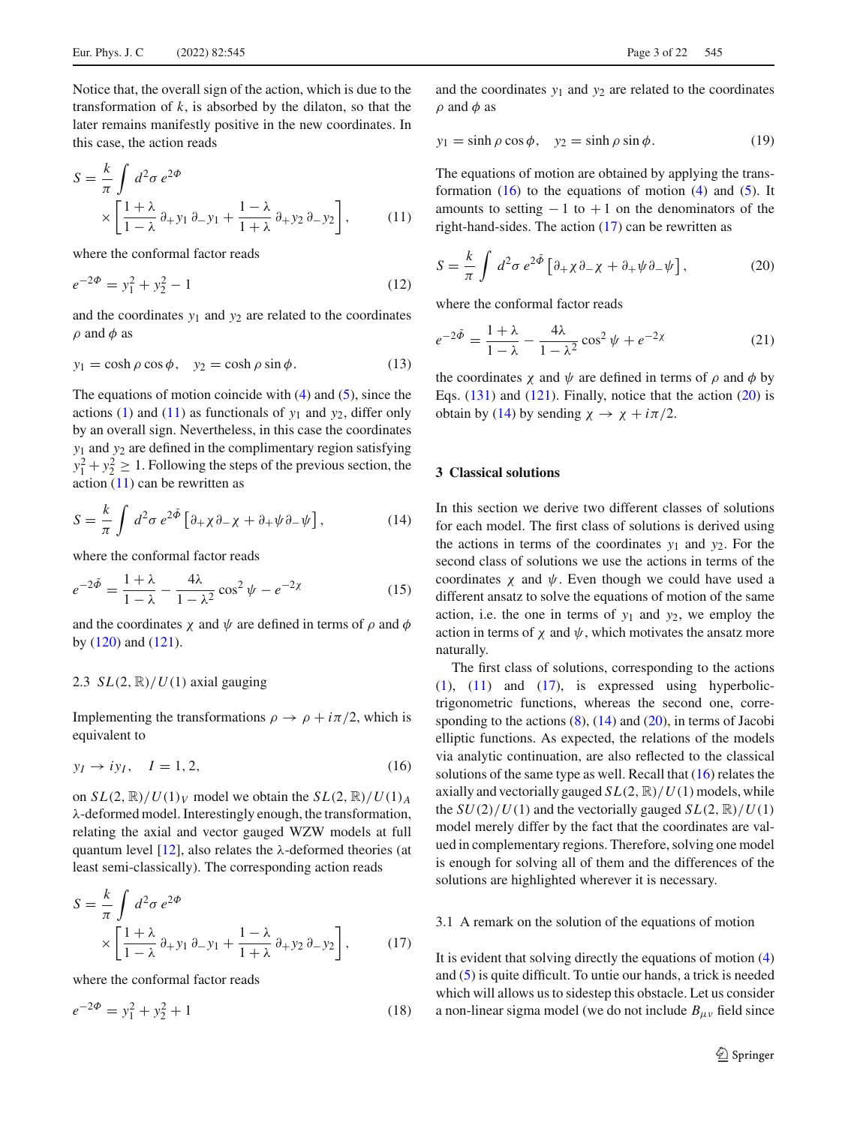Notice that, the overall sign of the action, which is due to the transformation of  $k$ , is absorbed by the dilaton, so that the later remains manifestly positive in the new coordinates. In this case, the action reads

<span id="page-2-1"></span>
$$
S = \frac{k}{\pi} \int d^2 \sigma \, e^{2\Phi} \times \left[ \frac{1+\lambda}{1-\lambda} \partial_+ y_1 \, \partial_- y_1 + \frac{1-\lambda}{1+\lambda} \partial_+ y_2 \, \partial_- y_2 \right],\tag{11}
$$

where the conformal factor reads

$$
e^{-2\Phi} = y_1^2 + y_2^2 - 1\tag{12}
$$

and the coordinates  $y_1$  and  $y_2$  are related to the coordinates  $\rho$  and  $\phi$  as

<span id="page-2-6"></span>
$$
y_1 = \cosh \rho \cos \phi, \quad y_2 = \cosh \rho \sin \phi. \tag{13}
$$

The equations of motion coincide with  $(4)$  and  $(5)$ , since the actions [\(1\)](#page-1-2) and [\(11\)](#page-2-1) as functionals of  $y_1$  and  $y_2$ , differ only by an overall sign. Nevertheless, in this case the coordinates *y*<sup>1</sup> and *y*<sup>2</sup> are defined in the complimentary region satisfying  $y_1^2 + y_2^2 \ge 1$ . Following the steps of the previous section, the action  $(11)$  can be rewritten as

<span id="page-2-5"></span>
$$
S = \frac{k}{\pi} \int d^2 \sigma \, e^{2\tilde{\Phi}} \left[ \partial_+ \chi \partial_- \chi + \partial_+ \psi \partial_- \psi \right],\tag{14}
$$

where the conformal factor reads

$$
e^{-2\tilde{\Phi}} = \frac{1+\lambda}{1-\lambda} - \frac{4\lambda}{1-\lambda^2} \cos^2 \psi - e^{-2\chi} \tag{15}
$$

and the coordinates  $\chi$  and  $\psi$  are defined in terms of  $\rho$  and  $\phi$ by [\(120\)](#page-18-1) and [\(121\)](#page-18-0).

# 2.3  $SL(2, \mathbb{R})/U(1)$  axial gauging

Implementing the transformations  $\rho \to \rho + i\pi/2$ , which is equivalent to

<span id="page-2-2"></span>
$$
y_I \to i y_I, \quad I = 1, 2,\tag{16}
$$

on  $SL(2, \mathbb{R})/U(1)_V$  model we obtain the  $SL(2, \mathbb{R})/U(1)_A$ λ-deformed model. Interestingly enough, the transformation, relating the axial and vector gauged WZW models at full quantum level [\[12\]](#page-21-7), also relates the  $\lambda$ -deformed theories (at least semi-classically). The corresponding action reads

<span id="page-2-3"></span>
$$
S = \frac{k}{\pi} \int d^2 \sigma \, e^{2\Phi} \times \left[ \frac{1+\lambda}{1-\lambda} \partial_+ y_1 \partial_- y_1 + \frac{1-\lambda}{1+\lambda} \partial_+ y_2 \partial_- y_2 \right],\tag{17}
$$

where the conformal factor reads

$$
e^{-2\Phi} = y_1^2 + y_2^2 + 1\tag{18}
$$

and the coordinates  $y_1$  and  $y_2$  are related to the coordinates  $\rho$  and  $\phi$  as

<span id="page-2-7"></span>
$$
y_1 = \sinh \rho \cos \phi, \quad y_2 = \sinh \rho \sin \phi. \tag{19}
$$

The equations of motion are obtained by applying the transformation  $(16)$  to the equations of motion  $(4)$  and  $(5)$ . It amounts to setting  $-1$  to  $+1$  on the denominators of the right-hand-sides. The action [\(17\)](#page-2-3) can be rewritten as

<span id="page-2-4"></span>
$$
S = \frac{k}{\pi} \int d^2 \sigma \, e^{2\tilde{\Phi}} \left[ \partial_+ \chi \partial_- \chi + \partial_+ \psi \partial_- \psi \right],\tag{20}
$$

where the conformal factor reads

$$
e^{-2\tilde{\Phi}} = \frac{1+\lambda}{1-\lambda} - \frac{4\lambda}{1-\lambda^2} \cos^2 \psi + e^{-2\chi} \tag{21}
$$

the coordinates  $\chi$  and  $\psi$  are defined in terms of  $\rho$  and  $\phi$  by Eqs.  $(131)$  and  $(121)$ . Finally, notice that the action  $(20)$  is obtain by [\(14\)](#page-2-5) by sending  $\chi \rightarrow \chi + i\pi/2$ .

# <span id="page-2-0"></span>**3 Classical solutions**

In this section we derive two different classes of solutions for each model. The first class of solutions is derived using the actions in terms of the coordinates  $y_1$  and  $y_2$ . For the second class of solutions we use the actions in terms of the coordinates  $\chi$  and  $\psi$ . Even though we could have used a different ansatz to solve the equations of motion of the same action, i.e. the one in terms of  $y_1$  and  $y_2$ , we employ the action in terms of  $\chi$  and  $\psi$ , which motivates the ansatz more naturally.

The first class of solutions, corresponding to the actions  $(1)$ ,  $(11)$  and  $(17)$ , is expressed using hyperbolictrigonometric functions, whereas the second one, corresponding to the actions  $(8)$ ,  $(14)$  and  $(20)$ , in terms of Jacobi elliptic functions. As expected, the relations of the models via analytic continuation, are also reflected to the classical solutions of the same type as well. Recall that [\(16\)](#page-2-2) relates the axially and vectorially gauged  $SL(2, \mathbb{R})/U(1)$  models, while the  $SU(2)/U(1)$  and the vectorially gauged  $SL(2, \mathbb{R})/U(1)$ model merely differ by the fact that the coordinates are valued in complementary regions. Therefore, solving one model is enough for solving all of them and the differences of the solutions are highlighted wherever it is necessary.

## 3.1 A remark on the solution of the equations of motion

It is evident that solving directly the equations of motion [\(4\)](#page-1-4) and [\(5\)](#page-1-5) is quite difficult. To untie our hands, a trick is needed which will allows us to sidestep this obstacle. Let us consider a non-linear sigma model (we do not include  $B_{\mu\nu}$  field since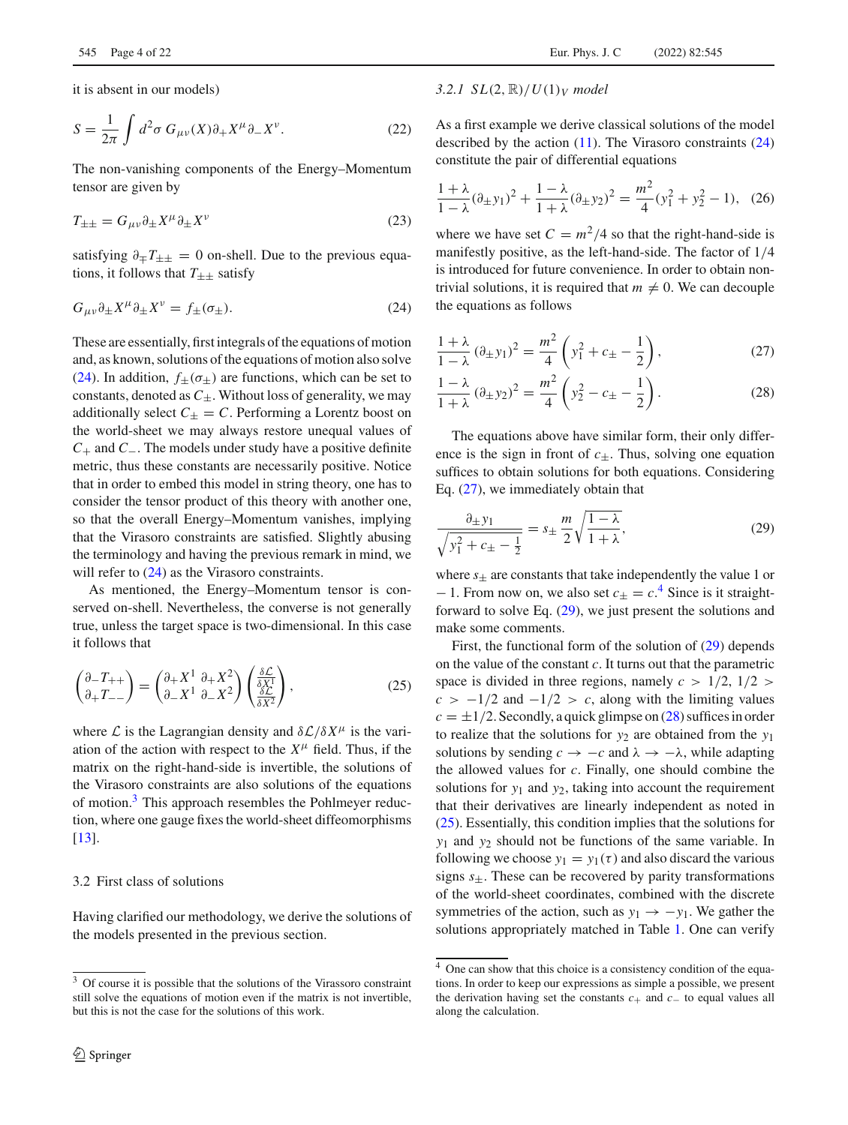it is absent in our models)

$$
S = \frac{1}{2\pi} \int d^2 \sigma \, G_{\mu\nu}(X) \partial_+ X^\mu \partial_- X^\nu. \tag{22}
$$

The non-vanishing components of the Energy–Momentum tensor are given by

$$
T_{\pm\pm} = G_{\mu\nu}\partial_{\pm}X^{\mu}\partial_{\pm}X^{\nu}
$$
\n(23)

satisfying  $\partial_{\pm}T_{\pm\pm} = 0$  on-shell. Due to the previous equations, it follows that  $T_{\pm\pm}$  satisfy

<span id="page-3-0"></span>
$$
G_{\mu\nu}\partial_{\pm}X^{\mu}\partial_{\pm}X^{\nu} = f_{\pm}(\sigma_{\pm}).\tag{24}
$$

These are essentially, first integrals of the equations of motion and, as known, solutions of the equations of motion also solve [\(24\)](#page-3-0). In addition,  $f_{+}(\sigma_{+})$  are functions, which can be set to constants, denoted as  $C_{\pm}$ . Without loss of generality, we may additionally select  $C_{\pm} = C$ . Performing a Lorentz boost on the world-sheet we may always restore unequal values of *C*<sup>+</sup> and *C*−. The models under study have a positive definite metric, thus these constants are necessarily positive. Notice that in order to embed this model in string theory, one has to consider the tensor product of this theory with another one, so that the overall Energy–Momentum vanishes, implying that the Virasoro constraints are satisfied. Slightly abusing the terminology and having the previous remark in mind, we will refer to  $(24)$  as the Virasoro constraints.

As mentioned, the Energy–Momentum tensor is conserved on-shell. Nevertheless, the converse is not generally true, unless the target space is two-dimensional. In this case it follows that

<span id="page-3-6"></span>
$$
\begin{pmatrix} \partial_- T_{++} \\ \partial_+ T_{--} \end{pmatrix} = \begin{pmatrix} \partial_+ X^1 & \partial_+ X^2 \\ \partial_- X^1 & \partial_- X^2 \end{pmatrix} \begin{pmatrix} \frac{\delta \mathcal{L}}{\delta X^1} \\ \frac{\delta \mathcal{L}}{\delta X^2} \end{pmatrix},
$$
(25)

where *L* is the Lagrangian density and  $\delta \mathcal{L}/\delta X^{\mu}$  is the variation of the action with respect to the  $X^{\mu}$  field. Thus, if the matrix on the right-hand-side is invertible, the solutions of the Virasoro constraints are also solutions of the equations of motion.<sup>[3](#page-3-1)</sup> This approach resembles the Pohlmeyer reduction, where one gauge fixes the world-sheet diffeomorphisms [\[13](#page-21-8)].

## 3.2 First class of solutions

Having clarified our methodology, we derive the solutions of the models presented in the previous section.

As a first example we derive classical solutions of the model described by the action [\(11\)](#page-2-1). The Virasoro constraints [\(24\)](#page-3-0) constitute the pair of differential equations

$$
\frac{1+\lambda}{1-\lambda}(\partial_{\pm}y_1)^2 + \frac{1-\lambda}{1+\lambda}(\partial_{\pm}y_2)^2 = \frac{m^2}{4}(y_1^2 + y_2^2 - 1), \tag{26}
$$

where we have set  $C = m^2/4$  so that the right-hand-side is manifestly positive, as the left-hand-side. The factor of 1/4 is introduced for future convenience. In order to obtain nontrivial solutions, it is required that  $m \neq 0$ . We can decouple the equations as follows

<span id="page-3-2"></span>
$$
\frac{1+\lambda}{1-\lambda} (\partial_{\pm} y_1)^2 = \frac{m^2}{4} \left( y_1^2 + c_{\pm} - \frac{1}{2} \right),
$$
 (27)

<span id="page-3-5"></span>
$$
\frac{1-\lambda}{1+\lambda} (\partial_{\pm} y_2)^2 = \frac{m^2}{4} \left( y_2^2 - c_{\pm} - \frac{1}{2} \right).
$$
 (28)

The equations above have similar form, their only difference is the sign in front of  $c_{+}$ . Thus, solving one equation suffices to obtain solutions for both equations. Considering Eq. [\(27\)](#page-3-2), we immediately obtain that

<span id="page-3-4"></span>
$$
\frac{\partial_{\pm} y_1}{\sqrt{y_1^2 + c_{\pm} - \frac{1}{2}}} = s_{\pm} \frac{m}{2} \sqrt{\frac{1 - \lambda}{1 + \lambda}},
$$
(29)

where  $s_{+}$  are constants that take independently the value 1 or  $-1$ . From now on, we also set  $c_{\pm} = c^4$  $c_{\pm} = c^4$ . Since is it straightforward to solve Eq. [\(29\)](#page-3-4), we just present the solutions and make some comments.

First, the functional form of the solution of [\(29\)](#page-3-4) depends on the value of the constant *c*. It turns out that the parametric space is divided in three regions, namely  $c > 1/2$ ,  $1/2 >$  $c > -1/2$  and  $-1/2 > c$ , along with the limiting values  $c = \pm 1/2$ . Secondly, a quick glimpse on [\(28\)](#page-3-5) suffices in order to realize that the solutions for  $y_2$  are obtained from the  $y_1$ solutions by sending  $c \to -c$  and  $\lambda \to -\lambda$ , while adapting the allowed values for *c*. Finally, one should combine the solutions for *y*<sup>1</sup> and *y*2, taking into account the requirement that their derivatives are linearly independent as noted in [\(25\)](#page-3-6). Essentially, this condition implies that the solutions for *y*<sup>1</sup> and *y*<sup>2</sup> should not be functions of the same variable. In following we choose  $y_1 = y_1(\tau)$  and also discard the various signs  $s_{\pm}$ . These can be recovered by parity transformations of the world-sheet coordinates, combined with the discrete symmetries of the action, such as  $y_1 \rightarrow -y_1$ . We gather the solutions appropriately matched in Table [1.](#page-4-0) One can verify

<span id="page-3-1"></span><sup>&</sup>lt;sup>3</sup> Of course it is possible that the solutions of the Virassoro constraint still solve the equations of motion even if the matrix is not invertible, but this is not the case for the solutions of this work.

<span id="page-3-3"></span> $\frac{4}{4}$  One can show that this choice is a consistency condition of the equations. In order to keep our expressions as simple a possible, we present the derivation having set the constants  $c_+$  and  $c_-$  to equal values all along the calculation.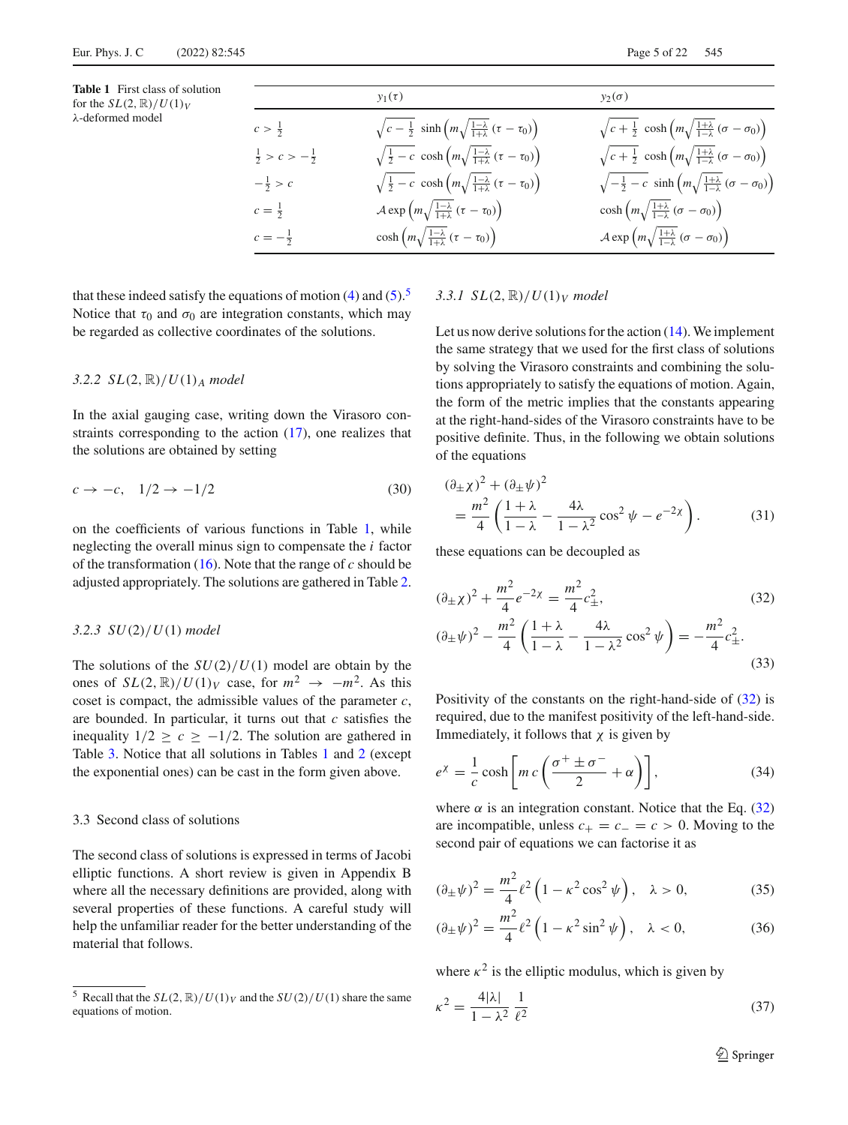<span id="page-4-0"></span>**Table 1** First class of solution for the  $SL(2, \mathbb{R})/U(1)_V$ λ-deformed model

|                                  | $y_1(\tau)$                                                                                          | $y_2(\sigma)$                                                                                             |
|----------------------------------|------------------------------------------------------------------------------------------------------|-----------------------------------------------------------------------------------------------------------|
| $c > \frac{1}{2}$                | $\sqrt{c-\frac{1}{2}} \sinh\left(m\sqrt{\frac{1-\lambda}{1+\lambda}}\left(\tau-\tau_0\right)\right)$ | $\sqrt{c+\frac{1}{2}} \cosh\left(m\sqrt{\frac{1+\lambda}{1-\lambda}} (\sigma-\sigma_0)\right)$            |
| $\frac{1}{2} > c > -\frac{1}{2}$ | $\sqrt{\frac{1}{2}-c \cosh\left(m\sqrt{\frac{1-\lambda}{1+\lambda}}\left(\tau-\tau_0\right)\right)}$ | $\sqrt{c+\frac{1}{2}} \cosh\left(m\sqrt{\frac{1+\lambda}{1-\lambda}} (\sigma-\sigma_0)\right)$            |
| $-\frac{1}{2} > c$               | $\sqrt{\frac{1}{2}-c \cosh\left(m\sqrt{\frac{1-\lambda}{1+\lambda}}\left(\tau-\tau_0\right)\right)}$ | $\sqrt{-\frac{1}{2}-c \sinh\left(m\sqrt{\frac{1+\lambda}{1-\lambda}}\left(\sigma-\sigma_0\right)\right)}$ |
| $c=\frac{1}{2}$                  | $\mathcal{A} \exp \left(m \sqrt{\frac{1-\lambda}{1+\lambda}} \left(\tau - \tau_0\right)\right)$      | $\cosh\left(m\sqrt{\frac{1+\lambda}{1-\lambda}}\left(\sigma-\sigma_0\right)\right)$                       |
| $c = -\frac{1}{2}$               | $\cosh\left(m\sqrt{\frac{1-\lambda}{1+\lambda}}\left(\tau-\tau_0\right)\right)$                      | $\mathcal{A} \exp \left(m \sqrt{\frac{1+\lambda}{1-\lambda}} \left(\sigma - \sigma_0\right)\right)$       |

that these indeed satisfy the equations of motion  $(4)$  and  $(5)$ .<sup>[5](#page-4-1)</sup> Notice that  $\tau_0$  and  $\sigma_0$  are integration constants, which may be regarded as collective coordinates of the solutions.

# *3.2.2 SL*(2, R)/*U*(1)*<sup>A</sup> model*

In the axial gauging case, writing down the Virasoro constraints corresponding to the action [\(17\)](#page-2-3), one realizes that the solutions are obtained by setting

$$
c \to -c, \quad 1/2 \to -1/2 \tag{30}
$$

on the coefficients of various functions in Table [1,](#page-4-0) while neglecting the overall minus sign to compensate the *i* factor of the transformation [\(16\)](#page-2-2). Note that the range of *c* should be adjusted appropriately. The solutions are gathered in Table [2.](#page-5-0)

## *3.2.3 SU*(2)/*U*(1) *model*

The solutions of the *SU*(2)/*U*(1) model are obtain by the ones of  $SL(2, \mathbb{R})/U(1)_V$  case, for  $m^2 \rightarrow -m^2$ . As this coset is compact, the admissible values of the parameter *c*, are bounded. In particular, it turns out that *c* satisfies the inequality  $1/2 \ge c \ge -1/2$ . The solution are gathered in Table [3.](#page-5-1) Notice that all solutions in Tables [1](#page-4-0) and [2](#page-5-0) (except the exponential ones) can be cast in the form given above.

## 3.3 Second class of solutions

The second class of solutions is expressed in terms of Jacobi elliptic functions. A short review is given in Appendix B where all the necessary definitions are provided, along with several properties of these functions. A careful study will help the unfamiliar reader for the better understanding of the material that follows.

# *3.3.1 SL*(2, R)/*U*(1)*<sup>V</sup> model*

Let us now derive solutions for the action [\(14\)](#page-2-5). We implement the same strategy that we used for the first class of solutions by solving the Virasoro constraints and combining the solutions appropriately to satisfy the equations of motion. Again, the form of the metric implies that the constants appearing at the right-hand-sides of the Virasoro constraints have to be positive definite. Thus, in the following we obtain solutions of the equations

$$
(\partial_{\pm} \chi)^2 + (\partial_{\pm} \psi)^2 = \frac{m^2}{4} \left( \frac{1 + \lambda}{1 - \lambda} - \frac{4\lambda}{1 - \lambda^2} \cos^2 \psi - e^{-2\chi} \right).
$$
 (31)

these equations can be decoupled as

<span id="page-4-4"></span><span id="page-4-2"></span>
$$
(\partial_{\pm}\chi)^{2} + \frac{m^{2}}{4}e^{-2\chi} = \frac{m^{2}}{4}c_{\pm}^{2},
$$
\n
$$
(\partial_{\pm}\psi)^{2} - \frac{m^{2}}{4}\left(\frac{1+\lambda}{1-\lambda} - \frac{4\lambda}{1-\lambda^{2}}\cos^{2}\psi\right) = -\frac{m^{2}}{4}c_{\pm}^{2}.
$$
\n(32)

Positivity of the constants on the right-hand-side of [\(32\)](#page-4-2) is required, due to the manifest positivity of the left-hand-side. Immediately, it follows that  $\chi$  is given by

$$
e^{\chi} = \frac{1}{c} \cosh\left[m c \left(\frac{\sigma^+ \pm \sigma^-}{2} + \alpha\right)\right],\tag{34}
$$

where  $\alpha$  is an integration constant. Notice that the Eq. [\(32\)](#page-4-2) are incompatible, unless  $c_{+} = c_{-} = c > 0$ . Moving to the second pair of equations we can factorise it as

$$
(\partial_{\pm}\psi)^{2} = \frac{m^{2}}{4} \ell^{2} \left(1 - \kappa^{2} \cos^{2}\psi\right), \quad \lambda > 0, \tag{35}
$$

$$
(\partial_{\pm}\psi)^2 = \frac{m^2}{4}\ell^2\left(1 - \kappa^2\sin^2\psi\right), \quad \lambda < 0,\tag{36}
$$

where  $\kappa^2$  is the elliptic modulus, which is given by

<span id="page-4-3"></span>
$$
\kappa^2 = \frac{4|\lambda|}{1 - \lambda^2} \frac{1}{\ell^2} \tag{37}
$$

<span id="page-4-1"></span><sup>&</sup>lt;sup>5</sup> Recall that the  $SL(2, \mathbb{R})/U(1)_V$  and the  $SU(2)/U(1)$  share the same equations of motion.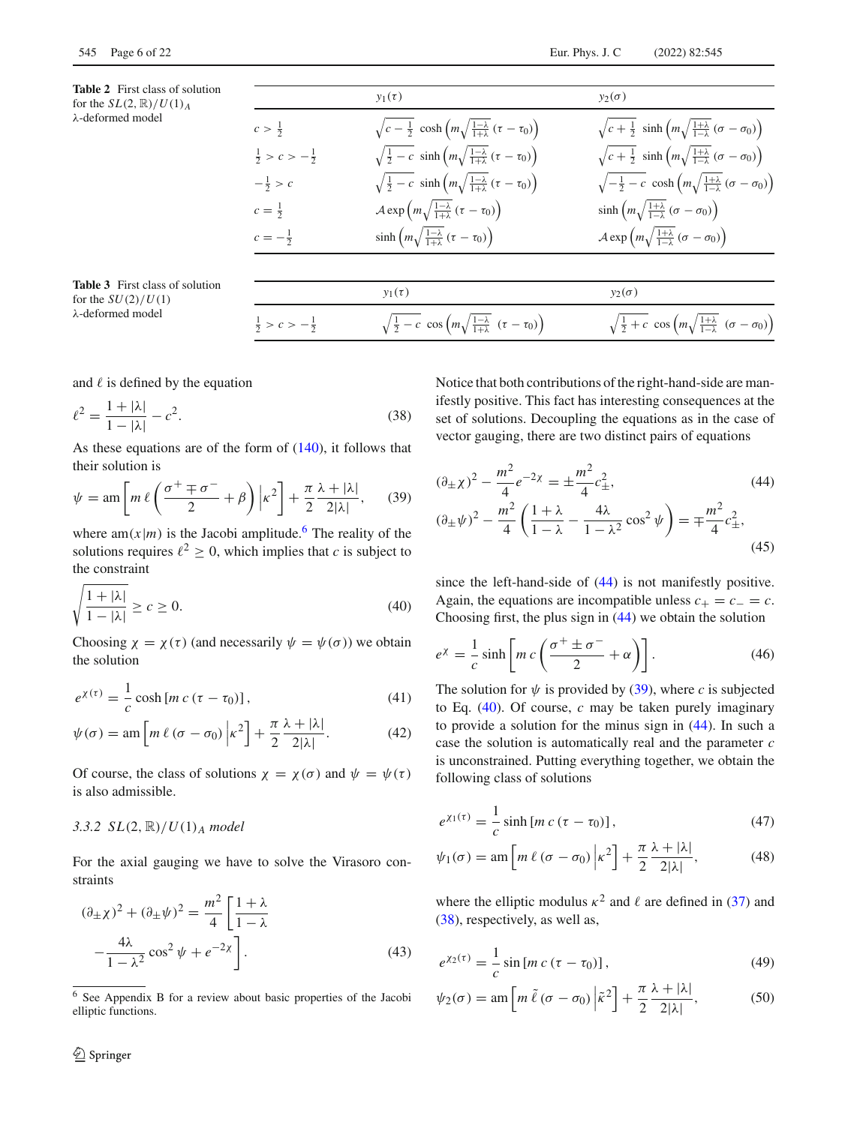<span id="page-5-0"></span>

|                                   | <b>Table 2</b> First class of solution |
|-----------------------------------|----------------------------------------|
| for the $SL(2,\mathbb{R})/U(1)$ A |                                        |
| $\lambda$ -deformed model         |                                        |

|                                  | $y_1(\tau)$                                                                                          | $y_2(\sigma)$                                                                                            |
|----------------------------------|------------------------------------------------------------------------------------------------------|----------------------------------------------------------------------------------------------------------|
| $c > \frac{1}{2}$                | $\sqrt{c-\frac{1}{2}} \cosh\left(m\sqrt{\frac{1-\lambda}{1+\lambda}}\left(\tau-\tau_0\right)\right)$ | $\sqrt{c+\frac{1}{2}} \sinh\left(m\sqrt{\frac{1+\lambda}{1-\lambda}}\left(\sigma-\sigma_0\right)\right)$ |
| $\frac{1}{2} > c > -\frac{1}{2}$ | $\sqrt{\frac{1}{2}} - c \sinh \left(m \sqrt{\frac{1-\lambda}{1+\lambda}} (\tau - \tau_0)\right)$     | $\sqrt{c+\frac{1}{2}} \sinh\left(m\sqrt{\frac{1+\lambda}{1-\lambda}}\left(\sigma-\sigma_0\right)\right)$ |
| $-\frac{1}{2} > c$               | $\sqrt{\frac{1}{2}} - c \sinh \left(m \sqrt{\frac{1-\lambda}{1+\lambda}} (\tau - \tau_0)\right)$     | $\sqrt{-\frac{1}{2}} - c \cosh\left(m\sqrt{\frac{1+\lambda}{1-\lambda}} (\sigma - \sigma_0)\right)$      |
| $c = \frac{1}{2}$                | $\mathcal{A} \exp \left(m \sqrt{\frac{1-\lambda}{1+\lambda}} \left(\tau - \tau_0\right)\right)$      | $\sinh\left(m\sqrt{\frac{1+\lambda}{1-\lambda}}\left(\sigma-\sigma_0\right)\right)$                      |
| $c = -\frac{1}{2}$               | $\sinh\left(m\sqrt{\frac{1-\lambda}{1+\lambda}}\left(\tau-\tau_0\right)\right)$                      | $\mathcal{A} \exp \left(m \sqrt{\frac{1+\lambda}{1-\lambda}} \left(\sigma - \sigma_0\right)\right)$      |
|                                  |                                                                                                      |                                                                                                          |
|                                  | $y_1(\tau)$                                                                                          | $y_2(\sigma)$                                                                                            |
| $\frac{1}{2} > c > -\frac{1}{2}$ | $\sqrt{\frac{1}{2}-c \cos\left(m\sqrt{\frac{1-\lambda}{1+\lambda}} \left(\tau-\tau_0\right)\right)}$ | $\sqrt{\frac{1}{2}+c \cos\left(m\sqrt{\frac{1+\lambda}{1-\lambda}} \left(\sigma-\sigma_0\right)\right)}$ |

λ-deformed model

<span id="page-5-1"></span>**Table 3** First class of solut for the  $SU(2)/U(1)$ 

and  $\ell$  is defined by the equation

<span id="page-5-6"></span>
$$
\ell^2 = \frac{1 + |\lambda|}{1 - |\lambda|} - c^2.
$$
 (38)

As these equations are of the form of  $(140)$ , it follows that their solution is

<span id="page-5-4"></span>
$$
\psi = \operatorname{am} \left[ m \ell \left( \frac{\sigma^+ \mp \sigma^-}{2} + \beta \right) \Big| \kappa^2 \right] + \frac{\pi}{2} \frac{\lambda + |\lambda|}{2 |\lambda|}, \qquad (39)
$$

where am( $x|m$ ) is the Jacobi amplitude.<sup>6</sup> The reality of the solutions requires  $l^2 \geq 0$ , which implies that *c* is subject to the constraint

<span id="page-5-5"></span>
$$
\sqrt{\frac{1+|\lambda|}{1-|\lambda|}} \ge c \ge 0.
$$
\n(40)

Choosing  $\chi = \chi(\tau)$  (and necessarily  $\psi = \psi(\sigma)$ ) we obtain the solution

$$
e^{\chi(\tau)} = \frac{1}{c} \cosh\left[m c \left(\tau - \tau_0\right)\right],\tag{41}
$$

$$
\psi(\sigma) = \operatorname{am} \left[ m \ell \left( \sigma - \sigma_0 \right) \middle| \kappa^2 \right] + \frac{\pi}{2} \frac{\lambda + |\lambda|}{2|\lambda|}. \tag{42}
$$

Of course, the class of solutions  $\chi = \chi(\sigma)$  and  $\psi = \psi(\tau)$ is also admissible.

#### *3.3.2 SL*(2, R)/*U*(1)*<sup>A</sup> model*

For the axial gauging we have to solve the Virasoro constraints

$$
(\partial_{\pm}\chi)^2 + (\partial_{\pm}\psi)^2 = \frac{m^2}{4} \left[ \frac{1+\lambda}{1-\lambda} - \frac{4\lambda}{1-\lambda^2} \cos^2\psi + e^{-2\chi} \right].
$$
 (43)

Notice that both contributions of the right-hand-side are manifestly positive. This fact has interesting consequences at the set of solutions. Decoupling the equations as in the case of vector gauging, there are two distinct pairs of equations

<span id="page-5-3"></span>
$$
(\partial_{\pm}\chi)^{2} - \frac{m^{2}}{4}e^{-2\chi} = \pm\frac{m^{2}}{4}c_{\pm}^{2},
$$
\n
$$
(\partial_{\pm}\psi)^{2} - \frac{m^{2}}{4}\left(\frac{1+\lambda}{1-\lambda} - \frac{4\lambda}{1-\lambda^{2}}\cos^{2}\psi\right) = \mp\frac{m^{2}}{4}c_{\pm}^{2},
$$
\n(45)

since the left-hand-side of [\(44\)](#page-5-3) is not manifestly positive. Again, the equations are incompatible unless  $c_{+} = c_{-} = c$ . Choosing first, the plus sign in [\(44\)](#page-5-3) we obtain the solution

$$
e^{\chi} = \frac{1}{c} \sinh \left[ mc \left( \frac{\sigma^+ \pm \sigma^-}{2} + \alpha \right) \right].
$$
 (46)

<span id="page-5-10"></span><span id="page-5-9"></span>The solution for  $\psi$  is provided by [\(39\)](#page-5-4), where *c* is subjected to Eq. [\(40\)](#page-5-5). Of course, *c* may be taken purely imaginary to provide a solution for the minus sign in [\(44\)](#page-5-3). In such a case the solution is automatically real and the parameter *c* is unconstrained. Putting everything together, we obtain the following class of solutions

<span id="page-5-11"></span><span id="page-5-7"></span>
$$
e^{\chi_1(\tau)} = \frac{1}{c} \sinh \left[ mc \left( \tau - \tau_0 \right) \right],\tag{47}
$$

$$
\psi_1(\sigma) = \text{am}\left[m\,\ell\,(\sigma - \sigma_0)\,\middle|\,\kappa^2\right] + \frac{\pi}{2}\frac{\lambda + |\lambda|}{2|\lambda|},\tag{48}
$$

where the elliptic modulus  $\kappa^2$  and  $\ell$  are defined in [\(37\)](#page-4-3) and [\(38\)](#page-5-6), respectively, as well as,

<span id="page-5-12"></span><span id="page-5-8"></span>
$$
e^{\chi_2(\tau)} = \frac{1}{c} \sin\left[m\,c\,(\tau - \tau_0)\right],\tag{49}
$$

$$
\psi_2(\sigma) = \operatorname{am} \left[ m \tilde{\ell} \left( \sigma - \sigma_0 \right) \left| \tilde{\kappa}^2 \right] + \frac{\pi}{2} \frac{\lambda + |\lambda|}{2 |\lambda|}, \right] \tag{50}
$$

<span id="page-5-2"></span><sup>6</sup> See Appendix B for a review about basic properties of the Jacobi elliptic functions.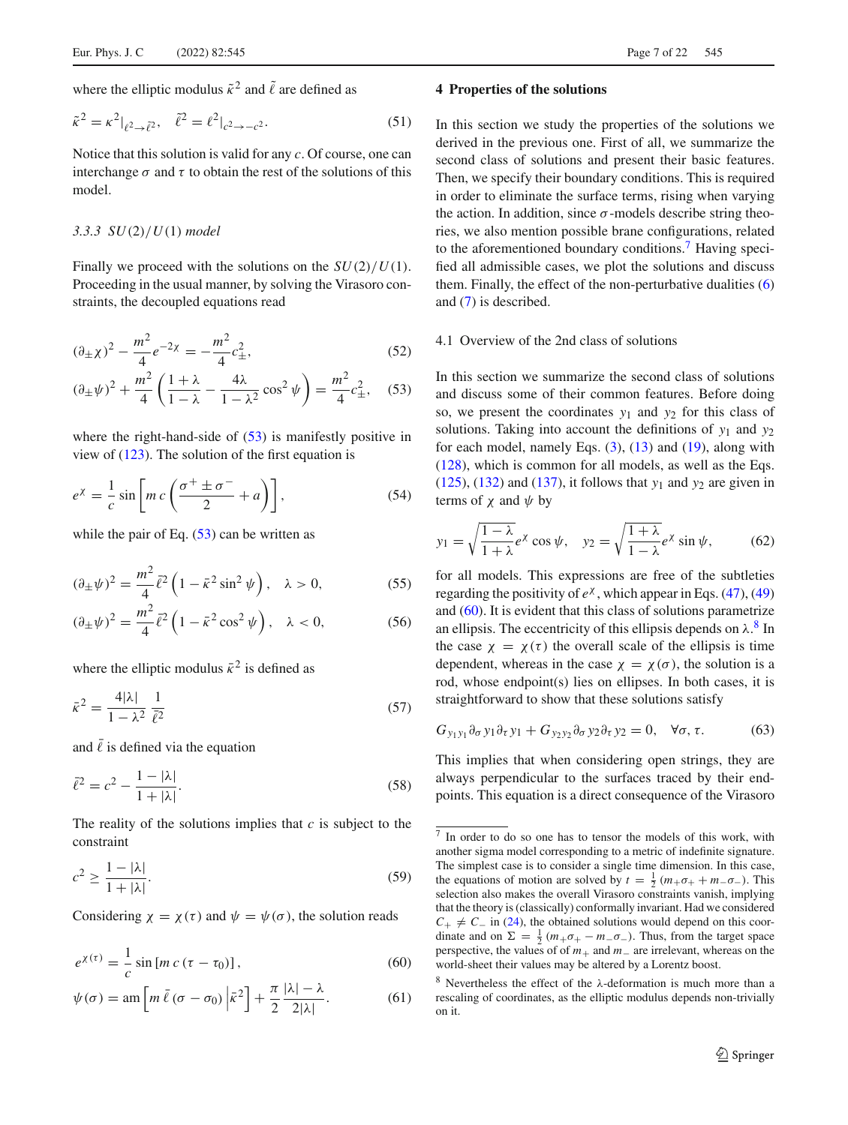where the elliptic modulus  $\tilde{\kappa}^2$  and  $\tilde{\ell}$  are defined as

<span id="page-6-5"></span>
$$
\tilde{\kappa}^2 = \kappa^2|_{\ell^2 \to \tilde{\ell}^2}, \quad \tilde{\ell}^2 = \ell^2|_{c^2 \to -c^2}.\tag{51}
$$

Notice that this solution is valid for any *c*. Of course, one can interchange  $\sigma$  and  $\tau$  to obtain the rest of the solutions of this model.

#### *3.3.3 SU*(2)/*U*(1) *model*

Finally we proceed with the solutions on the *SU*(2)/*U*(1). Proceeding in the usual manner, by solving the Virasoro constraints, the decoupled equations read

$$
(\partial_{\pm}\chi)^2 - \frac{m^2}{4}e^{-2\chi} = -\frac{m^2}{4}c_{\pm}^2,\tag{52}
$$

$$
(\partial_{\pm}\psi)^{2} + \frac{m^{2}}{4}\left(\frac{1+\lambda}{1-\lambda} - \frac{4\lambda}{1-\lambda^{2}}\cos^{2}\psi\right) = \frac{m^{2}}{4}c_{\pm}^{2}, \quad (53)
$$

where the right-hand-side of  $(53)$  is manifestly positive in view of [\(123\)](#page-18-2). The solution of the first equation is

$$
e^{\chi} = \frac{1}{c} \sin \left[ mc \left( \frac{\sigma^+ \pm \sigma^-}{2} + a \right) \right],\tag{54}
$$

while the pair of Eq.  $(53)$  can be written as

$$
(\partial_{\pm}\psi)^2 = \frac{m^2}{4}\bar{\ell}^2 \left(1 - \bar{\kappa}^2 \sin^2\psi\right), \quad \lambda > 0,
$$
 (55)

$$
(\partial_{\pm}\psi)^2 = \frac{m^2}{4}\bar{\ell}^2 \left(1 - \bar{\kappa}^2 \cos^2\psi\right), \quad \lambda < 0,\tag{56}
$$

where the elliptic modulus  $\bar{k}^2$  is defined as

<span id="page-6-7"></span>
$$
\bar{\kappa}^2 = \frac{4|\lambda|}{1-\lambda^2} \frac{1}{\bar{\ell}^2} \tag{57}
$$

and  $\overline{\ell}$  is defined via the equation

$$
\bar{\ell}^2 = c^2 - \frac{1 - |\lambda|}{1 + |\lambda|}.\tag{58}
$$

The reality of the solutions implies that *c* is subject to the constraint

<span id="page-6-8"></span>
$$
c^2 \ge \frac{1 - |\lambda|}{1 + |\lambda|}.\tag{59}
$$

Considering  $\chi = \chi(\tau)$  and  $\psi = \psi(\sigma)$ , the solution reads

$$
e^{\chi(\tau)} = -\frac{1}{c}\sin\left[m\,c\,(\tau-\tau_0)\right],\tag{60}
$$

$$
\psi(\sigma) = \operatorname{am} \left[ m \,\overline{\ell} \, (\sigma - \sigma_0) \, \Big| \bar{\kappa}^2 \right] + \frac{\pi}{2} \frac{|\lambda| - \lambda}{2|\lambda|}.\tag{61}
$$

#### <span id="page-6-0"></span>**4 Properties of the solutions**

In this section we study the properties of the solutions we derived in the previous one. First of all, we summarize the second class of solutions and present their basic features. Then, we specify their boundary conditions. This is required in order to eliminate the surface terms, rising when varying the action. In addition, since  $\sigma$ -models describe string theories, we also mention possible brane configurations, related to the aforementioned boundary conditions.<sup>[7](#page-6-2)</sup> Having specified all admissible cases, we plot the solutions and discuss them. Finally, the effect of the non-perturbative dualities  $(6)$ and [\(7\)](#page-1-8) is described.

## <span id="page-6-9"></span>4.1 Overview of the 2nd class of solutions

<span id="page-6-1"></span>In this section we summarize the second class of solutions and discuss some of their common features. Before doing so, we present the coordinates *y*<sup>1</sup> and *y*<sup>2</sup> for this class of solutions. Taking into account the definitions of  $y_1$  and  $y_2$ for each model, namely Eqs.  $(3)$ ,  $(13)$  and  $(19)$ , along with [\(128\)](#page-18-3), which is common for all models, as well as the Eqs. [\(125\)](#page-18-4), [\(132\)](#page-19-3) and [\(137\)](#page-19-4), it follows that *y*<sup>1</sup> and *y*<sup>2</sup> are given in terms of  $\chi$  and  $\psi$  by

$$
y_1 = \sqrt{\frac{1-\lambda}{1+\lambda}} e^{\lambda} \cos \psi, \quad y_2 = \sqrt{\frac{1+\lambda}{1-\lambda}} e^{\lambda} \sin \psi,
$$
 (62)

for all models. This expressions are free of the subtleties regarding the positivity of  $e^{\chi}$ , which appear in Eqs. [\(47\)](#page-5-7), [\(49\)](#page-5-8) and [\(60\)](#page-6-3). It is evident that this class of solutions parametrize an ellipsis. The eccentricity of this ellipsis depends on  $\lambda$ .<sup>[8](#page-6-4)</sup> In the case  $\chi = \chi(\tau)$  the overall scale of the ellipsis is time dependent, whereas in the case  $\chi = \chi(\sigma)$ , the solution is a rod, whose endpoint(s) lies on ellipses. In both cases, it is straightforward to show that these solutions satisfy

$$
G_{y_1y_1}\partial_{\sigma}y_1\partial_{\tau}y_1 + G_{y_2y_2}\partial_{\sigma}y_2\partial_{\tau}y_2 = 0, \quad \forall \sigma, \tau.
$$
 (63)

This implies that when considering open strings, they are always perpendicular to the surfaces traced by their endpoints. This equation is a direct consequence of the Virasoro

<span id="page-6-2"></span><sup>7</sup> In order to do so one has to tensor the models of this work, with another sigma model corresponding to a metric of indefinite signature. The simplest case is to consider a single time dimension. In this case, the equations of motion are solved by  $t = \frac{1}{2} (m_+ \sigma_+ + m_- \sigma_-)$ . This selection also makes the overall Virasoro constraints vanish, implying that the theory is (classically) conformally invariant. Had we considered  $C_+ \neq C_-$  in [\(24\)](#page-3-0), the obtained solutions would depend on this coordinate and on  $\Sigma = \frac{1}{2} (m_+ \sigma_+ - m_- \sigma_-)$ . Thus, from the target space perspective, the values of of *m*<sup>+</sup> and *m*<sup>−</sup> are irrelevant, whereas on the world-sheet their values may be altered by a Lorentz boost.

<span id="page-6-6"></span><span id="page-6-4"></span><span id="page-6-3"></span><sup>&</sup>lt;sup>8</sup> Nevertheless the effect of the  $\lambda$ -deformation is much more than a rescaling of coordinates, as the elliptic modulus depends non-trivially on it.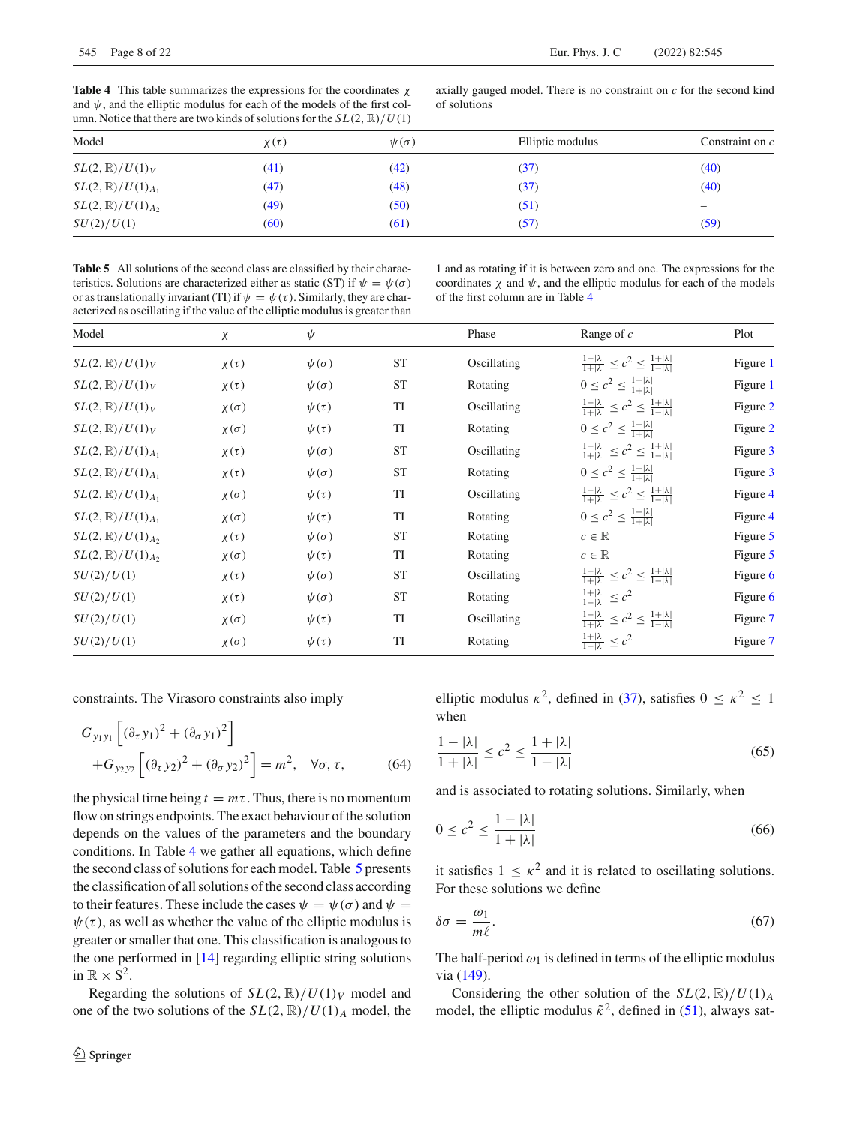<span id="page-7-0"></span>**Table 4** This table summarizes the expressions for the coordinates χ and  $\psi$ , and the elliptic modulus for each of the models of the first column. Notice that there are two kinds of solutions for the  $SL(2, \mathbb{R})/U(1)$ 

axially gauged model. There is no constraint on *c* for the second kind of solutions

| Model                         | $\chi(\tau)$ | $\psi(\sigma)$ | Elliptic modulus | Constraint on c |
|-------------------------------|--------------|----------------|------------------|-----------------|
| $SL(2,\mathbb{R})/U(1)_V$     | (41)         | (42)           | (37)             | (40)            |
| $SL(2,\mathbb{R})/U(1)_{A_1}$ | (47)         | (48)           | (37)             | (40)            |
| $SL(2,\mathbb{R})/U(1)_{A_2}$ | (49)         | (50)           | (51)             |                 |
| SU(2)/U(1)                    | (60)         | (61)           | (57)             | (59)            |

<span id="page-7-1"></span>**Table 5** All solutions of the second class are classified by their characteristics. Solutions are characterized either as static (ST) if  $\psi = \psi(\sigma)$ or as translationally invariant (TI) if  $\psi = \psi(\tau)$ . Similarly, they are characterized as oscillating if the value of the elliptic modulus is greater than

1 and as rotating if it is between zero and one. The expressions for the coordinates  $\chi$  and  $\psi$ , and the elliptic modulus for each of the models of the first column are in Table [4](#page-7-0)

| Model                         | χ              | $\psi$         |           | Phase       | Range of $c$                                                                    | Plot     |
|-------------------------------|----------------|----------------|-----------|-------------|---------------------------------------------------------------------------------|----------|
| $SL(2,\mathbb{R})/U(1)_V$     | $\chi(\tau)$   | $\psi(\sigma)$ | <b>ST</b> | Oscillating | $\frac{1- \lambda }{1+ \lambda } \leq c^2 \leq \frac{1+ \lambda }{1- \lambda }$ | Figure 1 |
| $SL(2,\mathbb{R})/U(1)_V$     | $\chi(\tau)$   | $\psi(\sigma)$ | <b>ST</b> | Rotating    | $0 \leq c^2 \leq \frac{1- \lambda }{1+ \lambda }$                               | Figure 1 |
| $SL(2,\mathbb{R})/U(1)_V$     | $\chi(\sigma)$ | $\psi(\tau)$   | TI        | Oscillating | $\frac{1- \lambda }{1+ \lambda } \leq c^2 \leq \frac{1+ \lambda }{1- \lambda }$ | Figure 2 |
| $SL(2,\mathbb{R})/U(1)_V$     | $\chi(\sigma)$ | $\psi(\tau)$   | <b>TI</b> | Rotating    | $0 \leq c^2 \leq \frac{1- \lambda }{1+ \lambda }$                               | Figure 2 |
| $SL(2,\mathbb{R})/U(1)_{A_1}$ | $\chi(\tau)$   | $\psi(\sigma)$ | <b>ST</b> | Oscillating | $\frac{1- \lambda }{1+ \lambda } \leq c^2 \leq \frac{1+ \lambda }{1- \lambda }$ | Figure 3 |
| $SL(2,\mathbb{R})/U(1)_{A_1}$ | $\chi(\tau)$   | $\psi(\sigma)$ | <b>ST</b> | Rotating    | $0 \leq c^2 \leq \frac{1- \lambda }{1+ \lambda }$                               | Figure 3 |
| $SL(2,\mathbb{R})/U(1)_{A_1}$ | $\chi(\sigma)$ | $\psi(\tau)$   | <b>TI</b> | Oscillating | $\frac{1- \lambda }{1+ \lambda } \leq c^2 \leq \frac{1+ \lambda }{1- \lambda }$ | Figure 4 |
| $SL(2,\mathbb{R})/U(1)_{A_1}$ | $\chi(\sigma)$ | $\psi(\tau)$   | TI        | Rotating    | $0 \leq c^2 \leq \frac{1- \lambda }{1+ \lambda }$                               | Figure 4 |
| $SL(2,\mathbb{R})/U(1)_{A_2}$ | $\chi(\tau)$   | $\psi(\sigma)$ | <b>ST</b> | Rotating    | $c \in \mathbb{R}$                                                              | Figure 5 |
| $SL(2,\mathbb{R})/U(1)_{A_2}$ | $\chi(\sigma)$ | $\psi(\tau)$   | <b>TI</b> | Rotating    | $c \in \mathbb{R}$                                                              | Figure 5 |
| SU(2)/U(1)                    | $\chi(\tau)$   | $\psi(\sigma)$ | <b>ST</b> | Oscillating | $\frac{1- \lambda }{1+ \lambda } \leq c^2 \leq \frac{1+ \lambda }{1- \lambda }$ | Figure 6 |
| SU(2)/U(1)                    | $\chi(\tau)$   | $\psi(\sigma)$ | <b>ST</b> | Rotating    | $\frac{1+ \lambda }{1- \lambda } \leq c^2$                                      | Figure 6 |
| SU(2)/U(1)                    | $\chi(\sigma)$ | $\psi(\tau)$   | <b>TI</b> | Oscillating | $\frac{1- \lambda }{1+ \lambda } \leq c^2 \leq \frac{1+ \lambda }{1- \lambda }$ | Figure 7 |
| SU(2)/U(1)                    | $\chi(\sigma)$ | $\psi(\tau)$   | <b>TI</b> | Rotating    | $\frac{1+ \lambda }{1- \lambda } \leq c^2$                                      | Figure 7 |

constraints. The Virasoro constraints also imply

$$
G_{y_1y_1} \left[ (\partial_\tau y_1)^2 + (\partial_\sigma y_1)^2 \right]
$$
  
+
$$
G_{y_2y_2} \left[ (\partial_\tau y_2)^2 + (\partial_\sigma y_2)^2 \right] = m^2, \quad \forall \sigma, \tau,
$$
(64)

the physical time being  $t = m\tau$ . Thus, there is no momentum flow on strings endpoints. The exact behaviour of the solution depends on the values of the parameters and the boundary conditions. In Table [4](#page-7-0) we gather all equations, which define the second class of solutions for each model. Table [5](#page-7-1) presents the classification of all solutions of the second class according to their features. These include the cases  $\psi = \psi(\sigma)$  and  $\psi = \psi(\sigma)$  $\psi(\tau)$ , as well as whether the value of the elliptic modulus is greater or smaller that one. This classification is analogous to the one performed in [\[14\]](#page-21-9) regarding elliptic string solutions in  $\mathbb{R} \times S^2$ .

Regarding the solutions of  $SL(2, \mathbb{R})/U(1)_V$  model and one of the two solutions of the  $SL(2, \mathbb{R})/U(1)_A$  model, the elliptic modulus  $\kappa^2$ , defined in [\(37\)](#page-4-3), satisfies  $0 \leq \kappa^2 \leq 1$ when

$$
\frac{1 - |\lambda|}{1 + |\lambda|} \le c^2 \le \frac{1 + |\lambda|}{1 - |\lambda|} \tag{65}
$$

and is associated to rotating solutions. Similarly, when

$$
0 \le c^2 \le \frac{1 - |\lambda|}{1 + |\lambda|} \tag{66}
$$

it satisfies  $1 \leq \kappa^2$  and it is related to oscillating solutions. For these solutions we define

<span id="page-7-2"></span>
$$
\delta \sigma = \frac{\omega_1}{m\ell}.\tag{67}
$$

The half-period  $\omega_1$  is defined in terms of the elliptic modulus via [\(149\)](#page-20-2).

Considering the other solution of the  $SL(2, \mathbb{R})/U(1)_A$ model, the elliptic modulus  $\tilde{\kappa}^2$ , defined in [\(51\)](#page-6-5), always sat-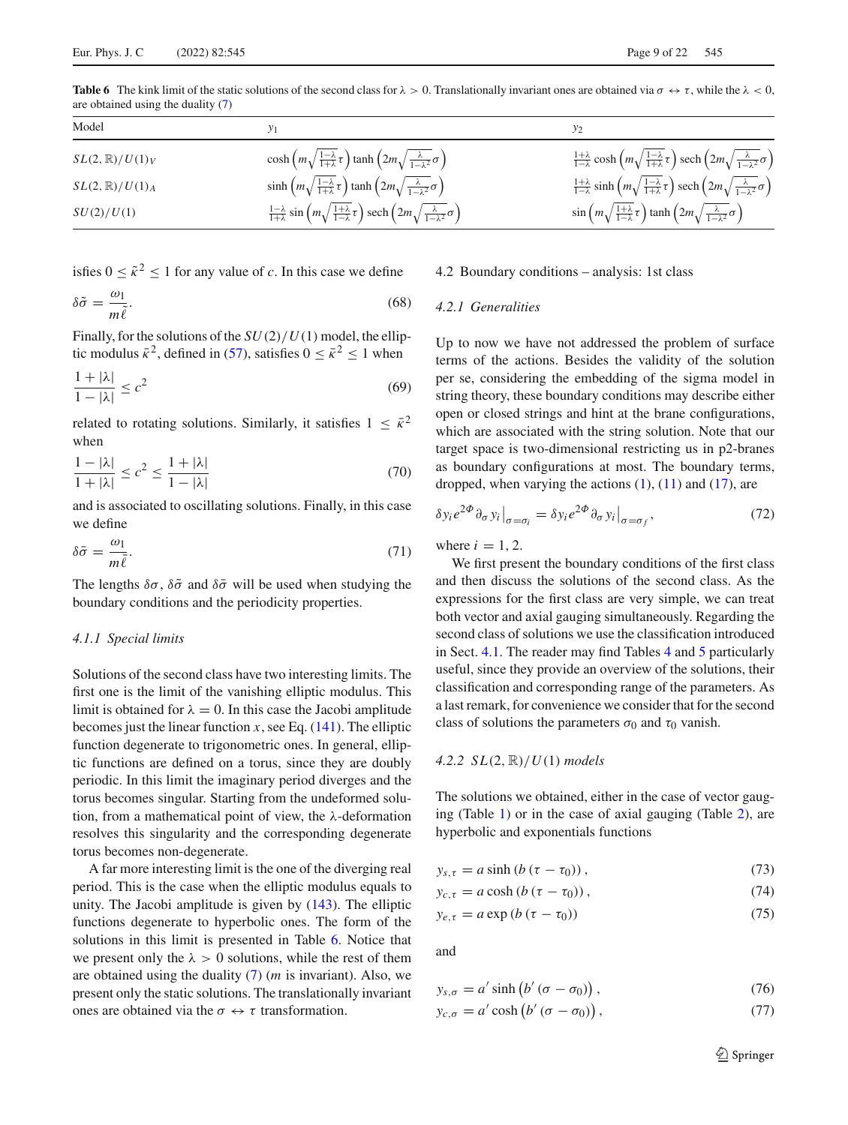<span id="page-8-0"></span>**Table 6** The kink limit of the static solutions of the second class for  $\lambda > 0$ . Translationally invariant ones are obtained via  $\sigma \leftrightarrow \tau$ , while the  $\lambda < 0$ , are obtained using the duality [\(7\)](#page-1-8)

| Model                     |                                                                                                                                                         | У2                                                                                                                                                       |
|---------------------------|---------------------------------------------------------------------------------------------------------------------------------------------------------|----------------------------------------------------------------------------------------------------------------------------------------------------------|
| $SL(2,\mathbb{R})/U(1)_V$ | $\cosh\left(m\sqrt{\frac{1-\lambda}{1+\lambda}\tau}\right)\tanh\left(2m\sqrt{\frac{\lambda}{1-\lambda^2}}\sigma\right)$                                 | $\frac{1+\lambda}{1-\lambda}$ cosh $\left(m\sqrt{\frac{1-\lambda}{1+\lambda}}\tau\right)$ sech $\left(2m\sqrt{\frac{\lambda}{1-\lambda^2}}\sigma\right)$ |
| $SL(2,\mathbb{R})/U(1)_A$ | $\sinh\left(m\sqrt{\frac{1-\lambda}{1+\lambda}\tau}\right)\tanh\left(2m\sqrt{\frac{\lambda}{1-\lambda^2}}\sigma\right)$                                 | $\frac{1+\lambda}{1-\lambda}$ sinh $\left(m\sqrt{\frac{1-\lambda}{1+\lambda}}\tau\right)$ sech $\left(2m\sqrt{\frac{\lambda}{1-\lambda^2}}\sigma\right)$ |
| SU(2)/U(1)                | $\frac{1-\lambda}{1+\lambda}$ sin $\left(m\sqrt{\frac{1+\lambda}{1-\lambda}}\tau\right)$ sech $\left(2m\sqrt{\frac{\lambda}{1-\lambda^2}}\sigma\right)$ | $\sin\left(m\sqrt{\frac{1+\lambda}{1-\lambda}}\tau\right)\tanh\left(2m\sqrt{\frac{\lambda}{1-\lambda^2}}\sigma\right)$                                   |

isfies  $0 \leq \tilde{\kappa}^2 \leq 1$  for any value of *c*. In this case we define

<span id="page-8-1"></span>
$$
\delta \tilde{\sigma} = \frac{\omega_1}{m \tilde{\ell}}.\tag{68}
$$

Finally, for the solutions of the *SU*(2)/*U*(1) model, the elliptic modulus  $\bar{\kappa}^2$ , defined in [\(57\)](#page-6-7), satisfies  $0 \leq \bar{\kappa}^2 \leq 1$  when

$$
\frac{1+|\lambda|}{1-|\lambda|} \le c^2 \tag{69}
$$

related to rotating solutions. Similarly, it satisfies  $1 \leq \bar{k}^2$ when

$$
\frac{1-|\lambda|}{1+|\lambda|} \le c^2 \le \frac{1+|\lambda|}{1-|\lambda|} \tag{70}
$$

and is associated to oscillating solutions. Finally, in this case we define

<span id="page-8-2"></span>
$$
\delta \bar{\sigma} = \frac{\omega_1}{m \bar{\ell}}.\tag{71}
$$

The lengths  $\delta\sigma$ ,  $\delta\tilde{\sigma}$  and  $\delta\bar{\sigma}$  will be used when studying the boundary conditions and the periodicity properties.

#### *4.1.1 Special limits*

Solutions of the second class have two interesting limits. The first one is the limit of the vanishing elliptic modulus. This limit is obtained for  $\lambda = 0$ . In this case the Jacobi amplitude becomes just the linear function  $x$ , see Eq.  $(141)$ . The elliptic function degenerate to trigonometric ones. In general, elliptic functions are defined on a torus, since they are doubly periodic. In this limit the imaginary period diverges and the torus becomes singular. Starting from the undeformed solution, from a mathematical point of view, the λ-deformation resolves this singularity and the corresponding degenerate torus becomes non-degenerate.

A far more interesting limit is the one of the diverging real period. This is the case when the elliptic modulus equals to unity. The Jacobi amplitude is given by [\(143\)](#page-19-6). The elliptic functions degenerate to hyperbolic ones. The form of the solutions in this limit is presented in Table [6.](#page-8-0) Notice that we present only the  $\lambda > 0$  solutions, while the rest of them are obtained using the duality [\(7\)](#page-1-8) (*m* is invariant). Also, we present only the static solutions. The translationally invariant ones are obtained via the  $\sigma \leftrightarrow \tau$  transformation.

## 4.2 Boundary conditions – analysis: 1st class

#### *4.2.1 Generalities*

Up to now we have not addressed the problem of surface terms of the actions. Besides the validity of the solution per se, considering the embedding of the sigma model in string theory, these boundary conditions may describe either open or closed strings and hint at the brane configurations, which are associated with the string solution. Note that our target space is two-dimensional restricting us in p2-branes as boundary configurations at most. The boundary terms, dropped, when varying the actions  $(1)$ ,  $(11)$  and  $(17)$ , are

$$
\delta y_i e^{2\Phi} \partial_{\sigma} y_i \big|_{\sigma = \sigma_i} = \delta y_i e^{2\Phi} \partial_{\sigma} y_i \big|_{\sigma = \sigma_f},\tag{72}
$$

where  $i = 1, 2$ .

We first present the boundary conditions of the first class and then discuss the solutions of the second class. As the expressions for the first class are very simple, we can treat both vector and axial gauging simultaneously. Regarding the second class of solutions we use the classification introduced in Sect. [4.1.](#page-6-9) The reader may find Tables [4](#page-7-0) and [5](#page-7-1) particularly useful, since they provide an overview of the solutions, their classification and corresponding range of the parameters. As a last remark, for convenience we consider that for the second class of solutions the parameters  $\sigma_0$  and  $\tau_0$  vanish.

#### *4.2.2 SL*(2, R)/*U*(1) *models*

The solutions we obtained, either in the case of vector gauging (Table [1\)](#page-4-0) or in the case of axial gauging (Table [2\)](#page-5-0), are hyperbolic and exponentials functions

$$
y_{s,\tau} = a \sinh \left( b \left( \tau - \tau_0 \right) \right), \tag{73}
$$

$$
y_{c,\tau} = a \cosh\left(b\left(\tau - \tau_0\right)\right),\tag{74}
$$

$$
y_{e,\tau} = a \exp\left(b\left(\tau - \tau_0\right)\right) \tag{75}
$$

and

$$
y_{s,\sigma} = a' \sinh(b'(\sigma - \sigma_0)), \qquad (76)
$$

$$
y_{c,\sigma} = a' \cosh(b'(\sigma - \sigma_0)), \qquad (77)
$$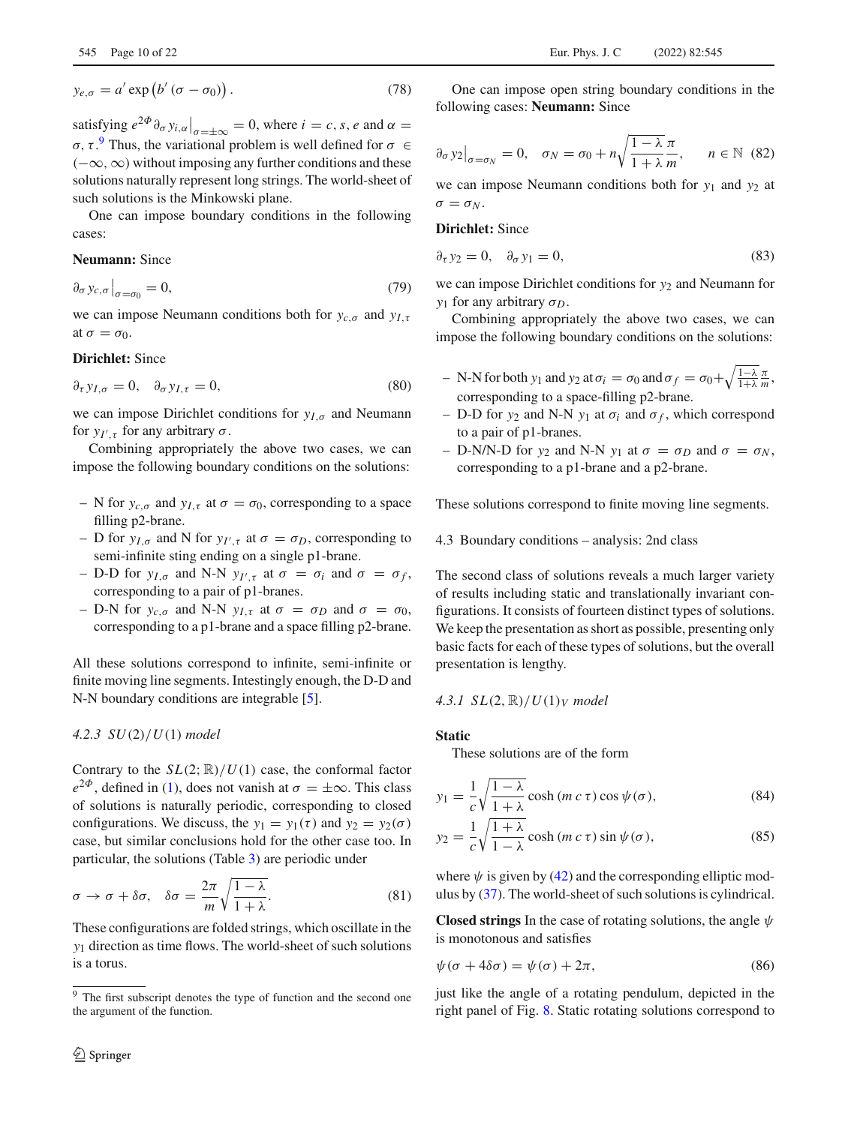$$
y_{e,\sigma} = a' \exp(b'(\sigma - \sigma_0)).
$$
\n(78)

satisfying  $e^{2\Phi}\partial_{\sigma} y_{i,\alpha}\Big|_{\sigma=\pm\infty} = 0$ , where  $i = c, s, e$  and  $\alpha = 0$ σ, τ.<sup>[9](#page-9-0)</sup> Thus, the variational problem is well defined for  $\sigma \in$  $(-\infty, \infty)$  without imposing any further conditions and these solutions naturally represent long strings. The world-sheet of such solutions is the Minkowski plane.

One can impose boundary conditions in the following cases:

## **Neumann:** Since

$$
\partial_{\sigma} y_{c,\sigma} \big|_{\sigma = \sigma_0} = 0,\tag{79}
$$

we can impose Neumann conditions both for *yc*,σ and *yI*,τ at  $\sigma = \sigma_0$ .

## **Dirichlet:** Since

$$
\partial_{\tau} y_{I,\sigma} = 0, \quad \partial_{\sigma} y_{I,\tau} = 0, \tag{80}
$$

we can impose Dirichlet conditions for  $y_{I,\sigma}$  and Neumann for  $y_{I',\tau}$  for any arbitrary  $\sigma$ .

Combining appropriately the above two cases, we can impose the following boundary conditions on the solutions:

- N for  $y_{c,\sigma}$  and  $y_{I,\tau}$  at  $\sigma = \sigma_0$ , corresponding to a space filling p2-brane.
- $-$  D for  $y_{I,\sigma}$  and N for  $y_{I',\tau}$  at  $\sigma = \sigma_D$ , corresponding to semi-infinite sting ending on a single p1-brane.
- $-$  D-D for *y<sub>I,σ</sub>* and N-N *y<sub>I',τ</sub>* at  $\sigma = \sigma_i$  and  $\sigma = \sigma_f$ , corresponding to a pair of p1-branes.
- D-N for *y<sub>c,σ</sub>* and N-N *y<sub>I,τ</sub>* at  $σ = σ$ *D* and  $σ = σ_0$ , corresponding to a p1-brane and a space filling p2-brane.

All these solutions correspond to infinite, semi-infinite or finite moving line segments. Intestingly enough, the D-D and N-N boundary conditions are integrable [\[5](#page-21-2)].

# *4.2.3 SU*(2)/*U*(1) *model*

Contrary to the  $SL(2;\mathbb{R})/U(1)$  case, the conformal factor  $e^{2\Phi}$ , defined in [\(1\)](#page-1-2), does not vanish at  $\sigma = \pm \infty$ . This class of solutions is naturally periodic, corresponding to closed configurations. We discuss, the  $y_1 = y_1(\tau)$  and  $y_2 = y_2(\sigma)$ case, but similar conclusions hold for the other case too. In particular, the solutions (Table [3\)](#page-5-1) are periodic under

$$
\sigma \to \sigma + \delta \sigma, \quad \delta \sigma = \frac{2\pi}{m} \sqrt{\frac{1 - \lambda}{1 + \lambda}}.
$$
 (81)

These configurations are folded strings, which oscillate in the *y*<sup>1</sup> direction as time flows. The world-sheet of such solutions is a torus.

One can impose open string boundary conditions in the following cases: **Neumann:** Since

$$
\partial_{\sigma} y_2\big|_{\sigma=\sigma_N} = 0, \quad \sigma_N = \sigma_0 + n \sqrt{\frac{1-\lambda}{1+\lambda}} \frac{\pi}{m}, \quad n \in \mathbb{N}
$$
 (82)

we can impose Neumann conditions both for *y*<sup>1</sup> and *y*<sup>2</sup> at  $\sigma = \sigma_N$ .

#### **Dirichlet:** Since

$$
\partial_{\tau} y_2 = 0, \quad \partial_{\sigma} y_1 = 0,\tag{83}
$$

we can impose Dirichlet conditions for  $y_2$  and Neumann for *y*<sub>1</sub> for any arbitrary  $\sigma_D$ .

Combining appropriately the above two cases, we can impose the following boundary conditions on the solutions:

- $-$  N-N for both *y*<sub>1</sub> and *y*<sub>2</sub> at  $\sigma_i = \sigma_0$  and  $\sigma_f = \sigma_0 + \sqrt{\frac{1-\lambda}{1+\lambda}} \frac{\pi}{m}$ , corresponding to a space-filling p2-brane.
- D-D for *y*<sup>2</sup> and N-N *y*<sup>1</sup> at σ*<sup>i</sup>* and σ *<sup>f</sup>* , which correspond to a pair of p1-branes.
- D-N/N-D for *y*<sub>2</sub> and N-N *y*<sub>1</sub> at  $\sigma = \sigma_D$  and  $\sigma = \sigma_N$ , corresponding to a p1-brane and a p2-brane.

These solutions correspond to finite moving line segments.

4.3 Boundary conditions – analysis: 2nd class

The second class of solutions reveals a much larger variety of results including static and translationally invariant configurations. It consists of fourteen distinct types of solutions. We keep the presentation as short as possible, presenting only basic facts for each of these types of solutions, but the overall presentation is lengthy.

$$
4.3.1 SL(2, \mathbb{R})/U(1)_V \ model
$$

# **Static**

These solutions are of the form

$$
y_1 = \frac{1}{c} \sqrt{\frac{1 - \lambda}{1 + \lambda}} \cosh(m c \tau) \cos \psi(\sigma), \tag{84}
$$

$$
y_2 = \frac{1}{c} \sqrt{\frac{1+\lambda}{1-\lambda}} \cosh(m c \tau) \sin \psi(\sigma), \tag{85}
$$

where  $\psi$  is given by [\(42\)](#page-5-10) and the corresponding elliptic modulus by [\(37\)](#page-4-3). The world-sheet of such solutions is cylindrical.

**Closed strings** In the case of rotating solutions, the angle  $\psi$ is monotonous and satisfies

<span id="page-9-1"></span>
$$
\psi(\sigma + 4\delta\sigma) = \psi(\sigma) + 2\pi,\tag{86}
$$

just like the angle of a rotating pendulum, depicted in the right panel of Fig. [8.](#page-20-3) Static rotating solutions correspond to

<span id="page-9-0"></span><sup>&</sup>lt;sup>9</sup> The first subscript denotes the type of function and the second one the argument of the function.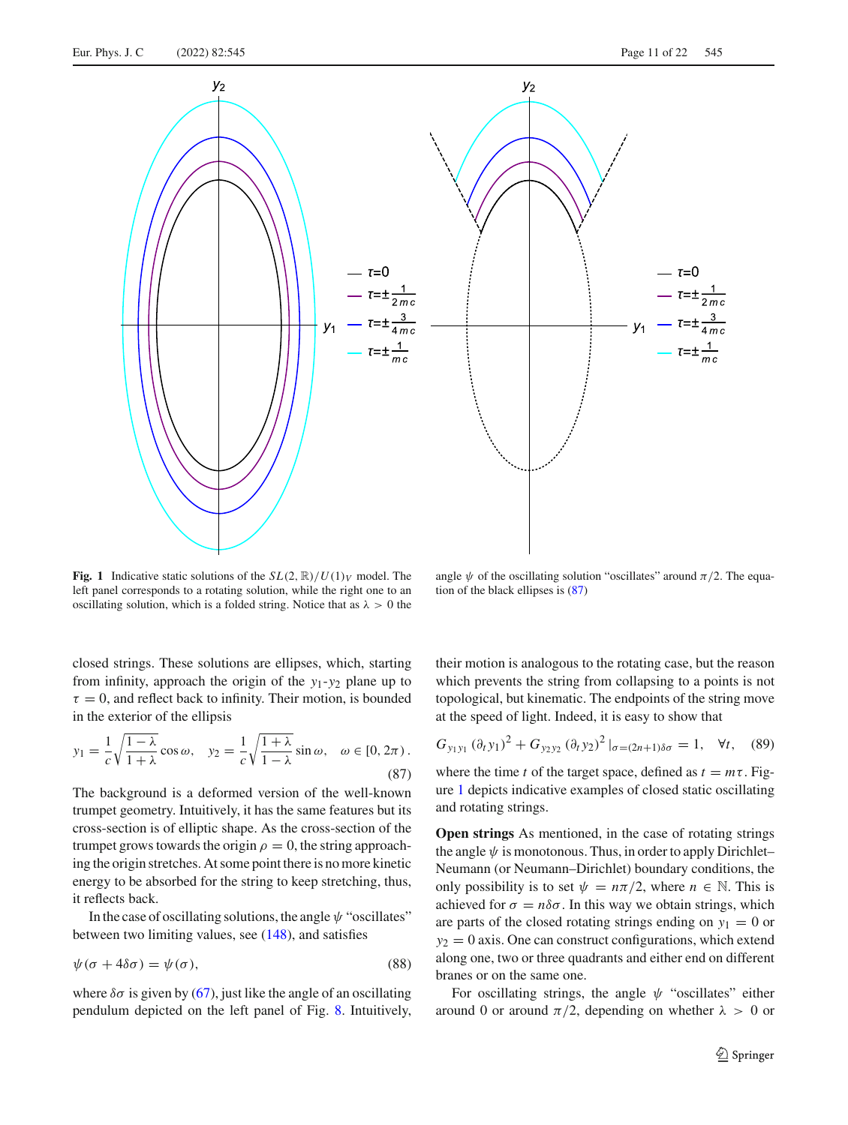

<span id="page-10-0"></span>**Fig. 1** Indicative static solutions of the  $SL(2, \mathbb{R})/U(1)_V$  model. The left panel corresponds to a rotating solution, while the right one to an oscillating solution, which is a folded string. Notice that as  $\lambda > 0$  the

angle  $\psi$  of the oscillating solution "oscillates" around  $\pi/2$ . The equation of the black ellipses is [\(87\)](#page-10-1)

closed strings. These solutions are ellipses, which, starting from infinity, approach the origin of the *y*1-*y*<sup>2</sup> plane up to  $\tau = 0$ , and reflect back to infinity. Their motion, is bounded in the exterior of the ellipsis

$$
y_1 = \frac{1}{c} \sqrt{\frac{1 - \lambda}{1 + \lambda}} \cos \omega, \quad y_2 = \frac{1}{c} \sqrt{\frac{1 + \lambda}{1 - \lambda}} \sin \omega, \quad \omega \in [0, 2\pi)
$$
\n(87)

The background is a deformed version of the well-known trumpet geometry. Intuitively, it has the same features but its cross-section is of elliptic shape. As the cross-section of the trumpet grows towards the origin  $\rho = 0$ , the string approaching the origin stretches. At some point there is no more kinetic energy to be absorbed for the string to keep stretching, thus, it reflects back.

In the case of oscillating solutions, the angle  $\psi$  "oscillates" between two limiting values, see  $(148)$ , and satisfies

<span id="page-10-2"></span>
$$
\psi(\sigma + 4\delta\sigma) = \psi(\sigma),\tag{88}
$$

where  $\delta\sigma$  is given by [\(67\)](#page-7-2), just like the angle of an oscillating pendulum depicted on the left panel of Fig. [8.](#page-20-3) Intuitively, their motion is analogous to the rotating case, but the reason which prevents the string from collapsing to a points is not topological, but kinematic. The endpoints of the string move at the speed of light. Indeed, it is easy to show that

<span id="page-10-1"></span>
$$
G_{y_1y_1} (\partial_t y_1)^2 + G_{y_2y_2} (\partial_t y_2)^2 |_{\sigma = (2n+1)\delta\sigma} = 1, \quad \forall t, \quad (89)
$$

where the time *t* of the target space, defined as  $t = m\tau$ . Figure [1](#page-10-0) depicts indicative examples of closed static oscillating and rotating strings.

**Open strings** As mentioned, in the case of rotating strings the angle  $\psi$  is monotonous. Thus, in order to apply Dirichlet– Neumann (or Neumann–Dirichlet) boundary conditions, the only possibility is to set  $\psi = n\pi/2$ , where  $n \in \mathbb{N}$ . This is achieved for  $\sigma = n\delta\sigma$ . In this way we obtain strings, which are parts of the closed rotating strings ending on  $y_1 = 0$  or  $y_2 = 0$  axis. One can construct configurations, which extend along one, two or three quadrants and either end on different branes or on the same one.

For oscillating strings, the angle  $\psi$  "oscillates" either around 0 or around  $\pi/2$ , depending on whether  $\lambda > 0$  or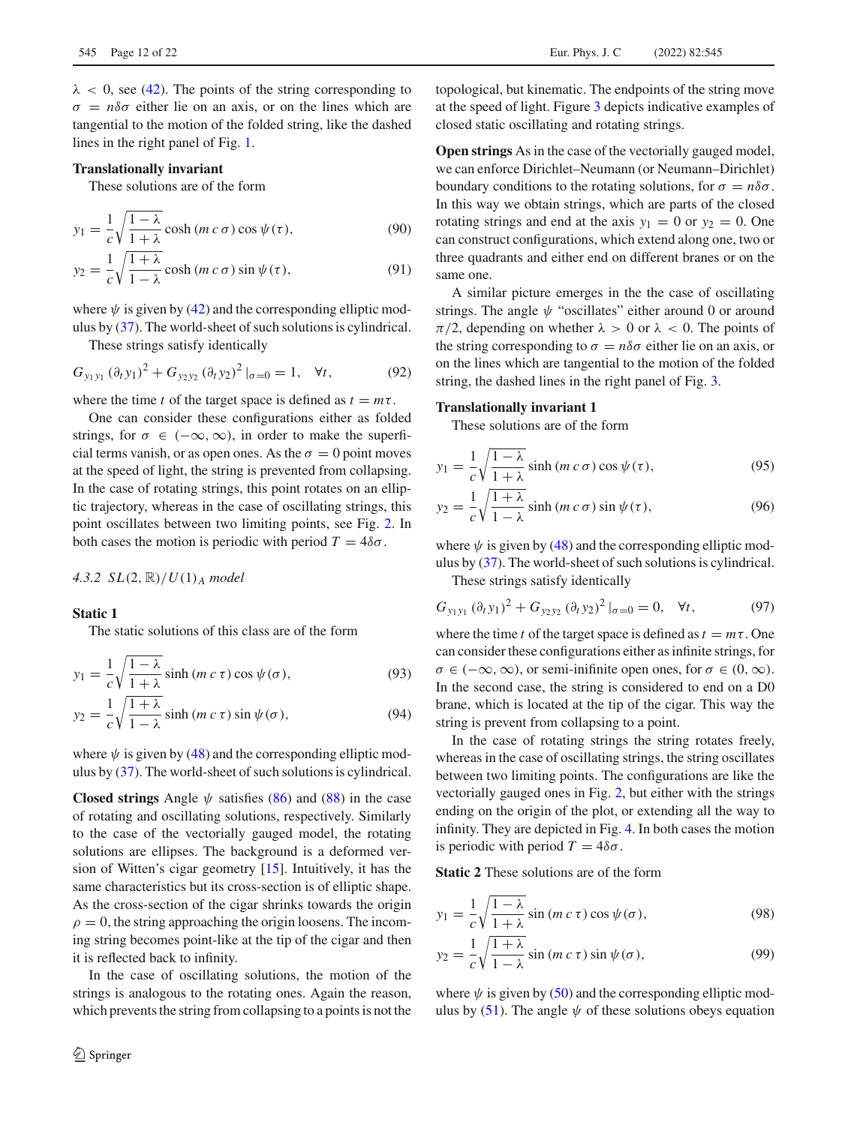$\lambda$  < 0, see [\(42\)](#page-5-10). The points of the string corresponding to  $\sigma = n\delta\sigma$  either lie on an axis, or on the lines which are tangential to the motion of the folded string, like the dashed lines in the right panel of Fig. [1.](#page-10-0)

## **Translationally invariant**

These solutions are of the form

$$
y_1 = \frac{1}{c} \sqrt{\frac{1 - \lambda}{1 + \lambda}} \cosh(m c \sigma) \cos \psi(\tau), \tag{90}
$$

$$
y_2 = \frac{1}{c} \sqrt{\frac{1+\lambda}{1-\lambda}} \cosh(m c \sigma) \sin \psi(\tau), \tag{91}
$$

where  $\psi$  is given by [\(42\)](#page-5-10) and the corresponding elliptic modulus by [\(37\)](#page-4-3). The world-sheet of such solutions is cylindrical.

These strings satisfy identically

$$
G_{y_1y_1} (\partial_t y_1)^2 + G_{y_2y_2} (\partial_t y_2)^2 |_{\sigma=0} = 1, \quad \forall t,
$$
 (92)

where the time *t* of the target space is defined as  $t = m\tau$ .

One can consider these configurations either as folded strings, for  $\sigma \in (-\infty, \infty)$ , in order to make the superficial terms vanish, or as open ones. As the  $\sigma = 0$  point moves at the speed of light, the string is prevented from collapsing. In the case of rotating strings, this point rotates on an elliptic trajectory, whereas in the case of oscillating strings, this point oscillates between two limiting points, see Fig. [2.](#page-12-0) In both cases the motion is periodic with period  $T = 4\delta\sigma$ .

## *4.3.2 SL*(2, R)/*U*(1)*<sup>A</sup> model*

# **Static 1**

The static solutions of this class are of the form

$$
y_1 = \frac{1}{c} \sqrt{\frac{1 - \lambda}{1 + \lambda}} \sinh(m c \tau) \cos \psi(\sigma), \tag{93}
$$

$$
y_2 = \frac{1}{c} \sqrt{\frac{1+\lambda}{1-\lambda}} \sinh(m c \tau) \sin \psi(\sigma), \tag{94}
$$

where  $\psi$  is given by [\(48\)](#page-5-11) and the corresponding elliptic modulus by [\(37\)](#page-4-3). The world-sheet of such solutions is cylindrical.

**Closed strings** Angle  $\psi$  satisfies [\(86\)](#page-9-1) and [\(88\)](#page-10-2) in the case of rotating and oscillating solutions, respectively. Similarly to the case of the vectorially gauged model, the rotating solutions are ellipses. The background is a deformed version of Witten's cigar geometry [\[15](#page-21-10)]. Intuitively, it has the same characteristics but its cross-section is of elliptic shape. As the cross-section of the cigar shrinks towards the origin  $\rho = 0$ , the string approaching the origin loosens. The incoming string becomes point-like at the tip of the cigar and then it is reflected back to infinity.

In the case of oscillating solutions, the motion of the strings is analogous to the rotating ones. Again the reason, which prevents the string from collapsing to a points is not the topological, but kinematic. The endpoints of the string move at the speed of light. Figure [3](#page-13-0) depicts indicative examples of closed static oscillating and rotating strings.

**Open strings** As in the case of the vectorially gauged model, we can enforce Dirichlet–Neumann (or Neumann–Dirichlet) boundary conditions to the rotating solutions, for  $\sigma = n\delta\sigma$ . In this way we obtain strings, which are parts of the closed rotating strings and end at the axis  $y_1 = 0$  or  $y_2 = 0$ . One can construct configurations, which extend along one, two or three quadrants and either end on different branes or on the same one.

A similar picture emerges in the the case of oscillating strings. The angle  $\psi$  "oscillates" either around 0 or around  $\pi/2$ , depending on whether  $\lambda > 0$  or  $\lambda < 0$ . The points of the string corresponding to  $\sigma = n\delta\sigma$  either lie on an axis, or on the lines which are tangential to the motion of the folded string, the dashed lines in the right panel of Fig. [3.](#page-13-0)

## **Translationally invariant 1**

These solutions are of the form

$$
y_1 = \frac{1}{c} \sqrt{\frac{1 - \lambda}{1 + \lambda}} \sinh(m c \sigma) \cos \psi(\tau), \tag{95}
$$

$$
y_2 = \frac{1}{c} \sqrt{\frac{1+\lambda}{1-\lambda}} \sinh(m c \sigma) \sin \psi(\tau), \tag{96}
$$

where  $\psi$  is given by [\(48\)](#page-5-11) and the corresponding elliptic modulus by [\(37\)](#page-4-3). The world-sheet of such solutions is cylindrical.

These strings satisfy identically

$$
G_{y_1y_1} (\partial_t y_1)^2 + G_{y_2y_2} (\partial_t y_2)^2 |_{\sigma=0} = 0, \quad \forall t,
$$
 (97)

where the time *t* of the target space is defined as  $t = m\tau$ . One can consider these configurations either as infinite strings, for  $\sigma \in (-\infty, \infty)$ , or semi-inifinite open ones, for  $\sigma \in (0, \infty)$ . In the second case, the string is considered to end on a D0 brane, which is located at the tip of the cigar. This way the string is prevent from collapsing to a point.

In the case of rotating strings the string rotates freely, whereas in the case of oscillating strings, the string oscillates between two limiting points. The configurations are like the vectorially gauged ones in Fig. [2,](#page-12-0) but either with the strings ending on the origin of the plot, or extending all the way to infinity. They are depicted in Fig. [4.](#page-13-1) In both cases the motion is periodic with period  $T = 4\delta\sigma$ .

**Static 2** These solutions are of the form

$$
y_1 = \frac{1}{c} \sqrt{\frac{1 - \lambda}{1 + \lambda}} \sin(m c \tau) \cos \psi(\sigma), \tag{98}
$$

$$
y_2 = \frac{1}{c} \sqrt{\frac{1+\lambda}{1-\lambda}} \sin(m c \tau) \sin \psi(\sigma), \tag{99}
$$

where  $\psi$  is given by [\(50\)](#page-5-12) and the corresponding elliptic mod-ulus by [\(51\)](#page-6-5). The angle  $\psi$  of these solutions obeys equation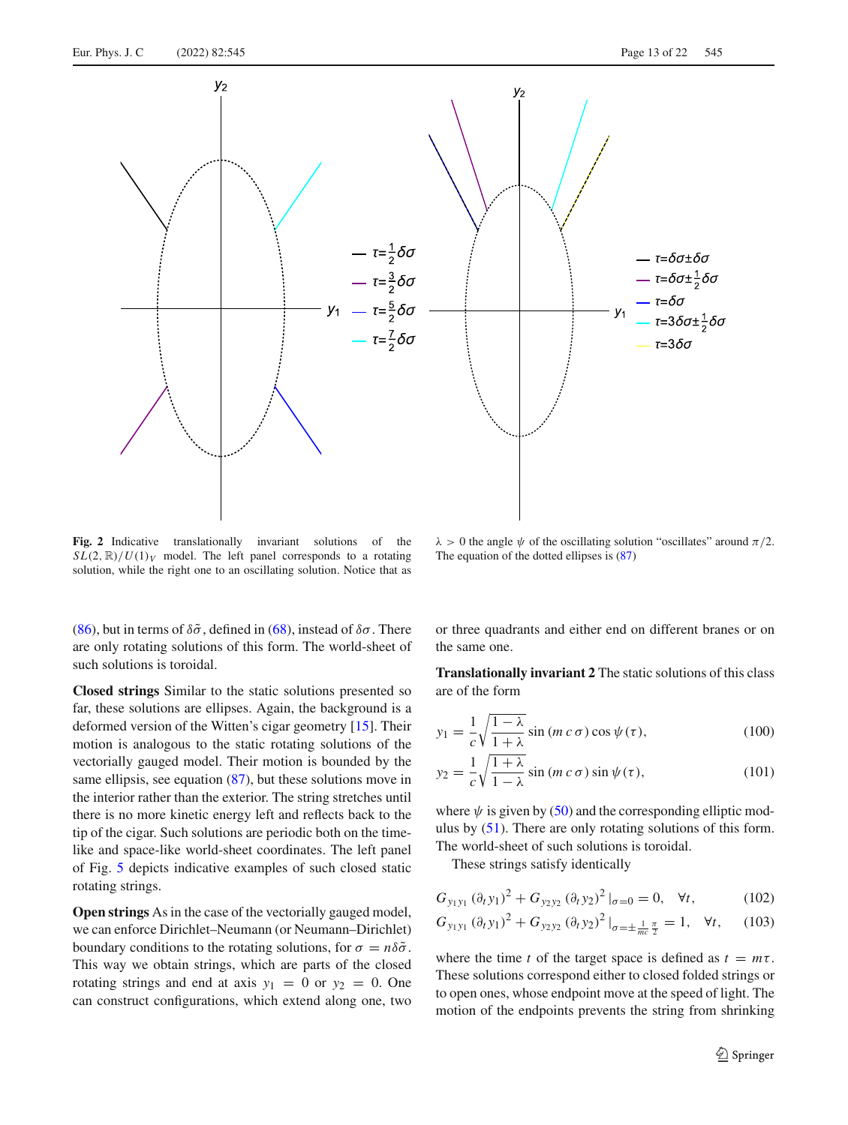

<span id="page-12-0"></span>**Fig. 2** Indicative translationally invariant solutions of the  $SL(2, \mathbb{R})/U(1)_V$  model. The left panel corresponds to a rotating solution, while the right one to an oscillating solution. Notice that as

 $\lambda > 0$  the angle  $\psi$  of the oscillating solution "oscillates" around  $\pi/2$ . The equation of the dotted ellipses is [\(87\)](#page-10-1)

[\(86\)](#page-9-1), but in terms of  $\delta\tilde{\sigma}$ , defined in [\(68\)](#page-8-1), instead of  $\delta\sigma$ . There are only rotating solutions of this form. The world-sheet of such solutions is toroidal.

**Closed strings** Similar to the static solutions presented so far, these solutions are ellipses. Again, the background is a deformed version of the Witten's cigar geometry [\[15](#page-21-10)]. Their motion is analogous to the static rotating solutions of the vectorially gauged model. Their motion is bounded by the same ellipsis, see equation [\(87\)](#page-10-1), but these solutions move in the interior rather than the exterior. The string stretches until there is no more kinetic energy left and reflects back to the tip of the cigar. Such solutions are periodic both on the timelike and space-like world-sheet coordinates. The left panel of Fig. [5](#page-14-0) depicts indicative examples of such closed static rotating strings.

**Open strings** As in the case of the vectorially gauged model, we can enforce Dirichlet–Neumann (or Neumann–Dirichlet) boundary conditions to the rotating solutions, for  $\sigma = n\delta\tilde{\sigma}$ . This way we obtain strings, which are parts of the closed rotating strings and end at axis  $y_1 = 0$  or  $y_2 = 0$ . One can construct configurations, which extend along one, two or three quadrants and either end on different branes or on the same one.

**Translationally invariant 2** The static solutions of this class are of the form

$$
y_1 = \frac{1}{c} \sqrt{\frac{1 - \lambda}{1 + \lambda}} \sin (m c \sigma) \cos \psi(\tau), \qquad (100)
$$

$$
y_2 = \frac{1}{c} \sqrt{\frac{1+\lambda}{1-\lambda}} \sin(m c \sigma) \sin \psi(\tau), \qquad (101)
$$

where  $\psi$  is given by [\(50\)](#page-5-12) and the corresponding elliptic modulus by [\(51\)](#page-6-5). There are only rotating solutions of this form. The world-sheet of such solutions is toroidal.

These strings satisfy identically

$$
G_{y_1y_1} (\partial_t y_1)^2 + G_{y_2y_2} (\partial_t y_2)^2 |_{\sigma=0} = 0, \quad \forall t,
$$
 (102)

$$
G_{y_1y_1} (\partial_t y_1)^2 + G_{y_2y_2} (\partial_t y_2)^2 \big|_{\sigma = \pm \frac{1}{mc} \frac{\pi}{2}} = 1, \quad \forall t, \quad (103)
$$

where the time *t* of the target space is defined as  $t = m\tau$ . These solutions correspond either to closed folded strings or to open ones, whose endpoint move at the speed of light. The motion of the endpoints prevents the string from shrinking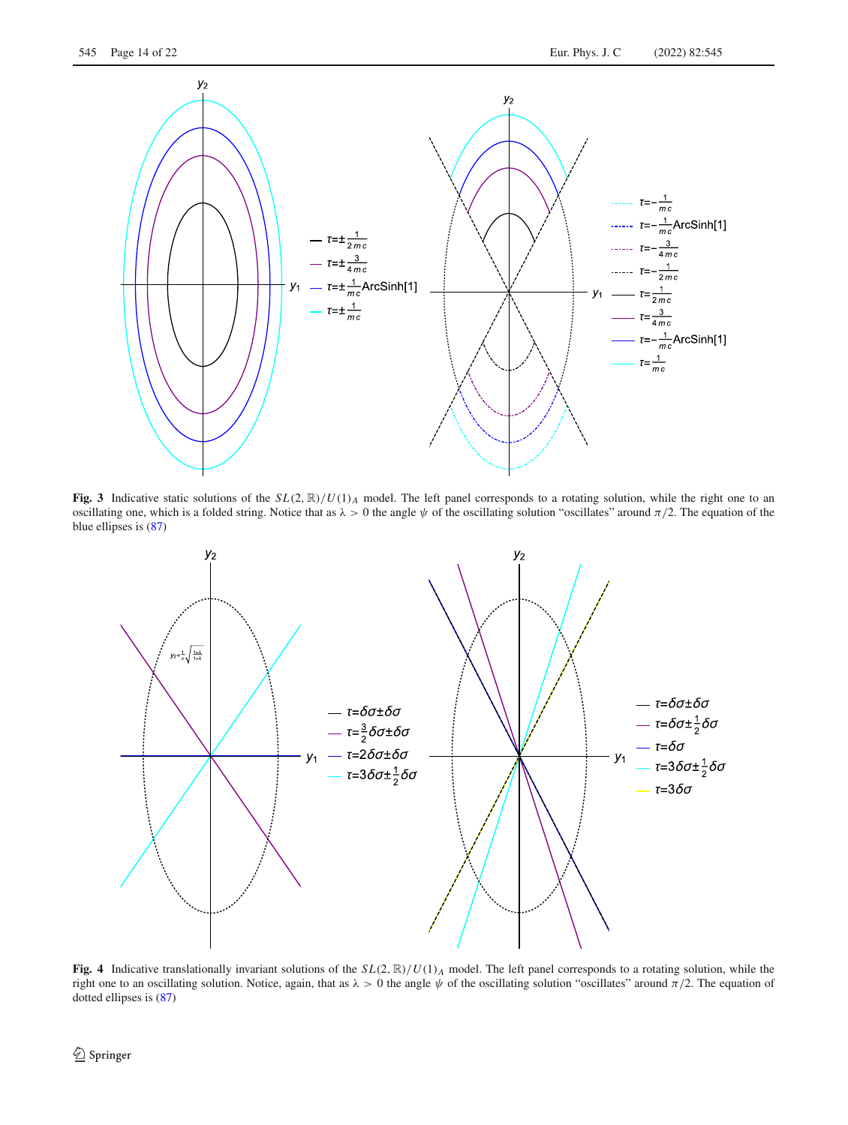

<span id="page-13-0"></span>**Fig. 3** Indicative static solutions of the  $SL(2, \mathbb{R})/U(1)_A$  model. The left panel corresponds to a rotating solution, while the right one to an oscillating one, which is a folded string. Notice that as  $\lambda > 0$  the angle  $\psi$  of the oscillating solution "oscillates" around  $\pi/2$ . The equation of the blue ellipses is [\(87\)](#page-10-1)



<span id="page-13-1"></span>**Fig. 4** Indicative translationally invariant solutions of the *SL*(2, R)/*U*(1)*<sup>A</sup>* model. The left panel corresponds to a rotating solution, while the right one to an oscillating solution. Notice, again, that as  $\lambda > 0$  the angle  $\psi$  of the oscillating solution "oscillates" around  $\pi/2$ . The equation of dotted ellipses is [\(87\)](#page-10-1)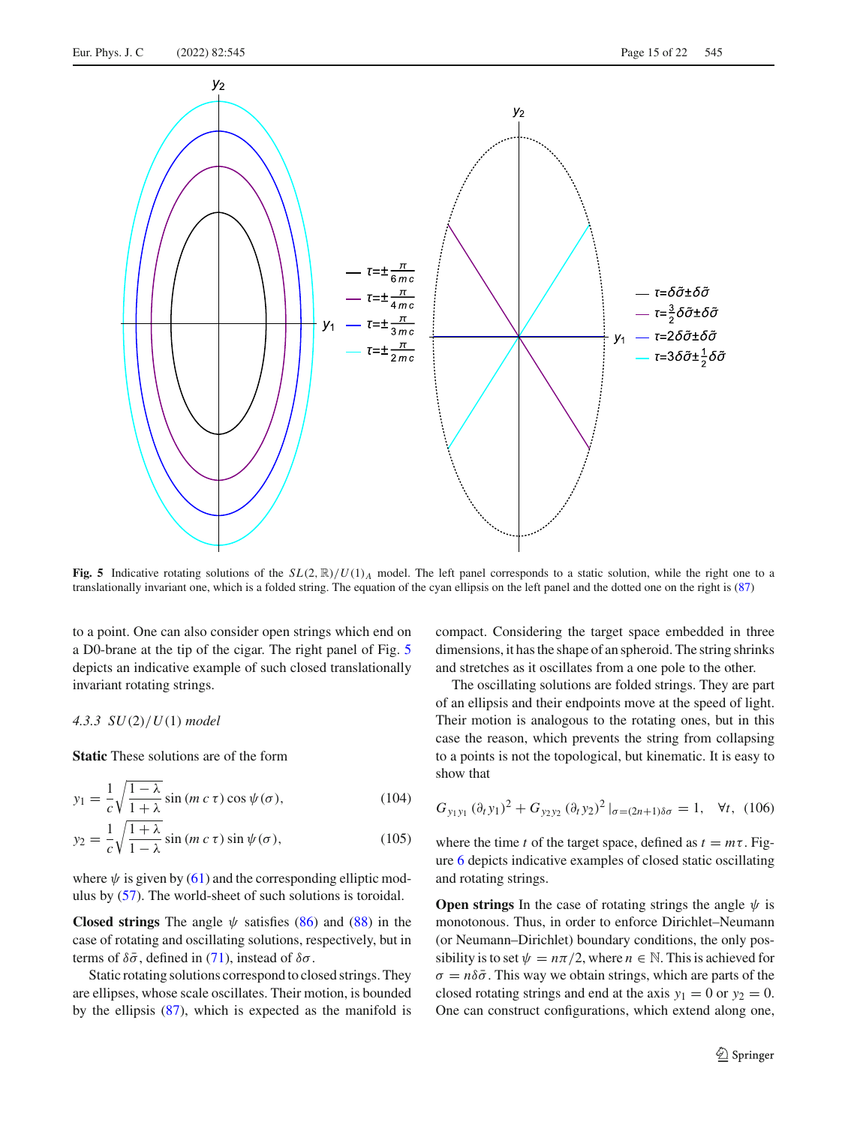

<span id="page-14-0"></span>**Fig. 5** Indicative rotating solutions of the  $SL(2, \mathbb{R})/U(1)_A$  model. The left panel corresponds to a static solution, while the right one to a translationally invariant one, which is a folded string. The equation of the cyan ellipsis on the left panel and the dotted one on the right is [\(87\)](#page-10-1)

to a point. One can also consider open strings which end on a D0-brane at the tip of the cigar. The right panel of Fig. [5](#page-14-0) depicts an indicative example of such closed translationally invariant rotating strings.

# *4.3.3 SU*(2)/*U*(1) *model*

**Static** These solutions are of the form

$$
y_1 = \frac{1}{c} \sqrt{\frac{1 - \lambda}{1 + \lambda}} \sin(m c \tau) \cos \psi(\sigma), \tag{104}
$$

$$
y_2 = \frac{1}{c} \sqrt{\frac{1+\lambda}{1-\lambda}} \sin(m c \tau) \sin \psi(\sigma), \qquad (105)
$$

where  $\psi$  is given by [\(61\)](#page-6-6) and the corresponding elliptic modulus by [\(57\)](#page-6-7). The world-sheet of such solutions is toroidal.

**Closed strings** The angle  $\psi$  satisfies [\(86\)](#page-9-1) and [\(88\)](#page-10-2) in the case of rotating and oscillating solutions, respectively, but in terms of  $\delta\bar{\sigma}$ , defined in [\(71\)](#page-8-2), instead of  $\delta\sigma$ .

Static rotating solutions correspond to closed strings. They are ellipses, whose scale oscillates. Their motion, is bounded by the ellipsis [\(87\)](#page-10-1), which is expected as the manifold is compact. Considering the target space embedded in three dimensions, it has the shape of an spheroid. The string shrinks and stretches as it oscillates from a one pole to the other.

The oscillating solutions are folded strings. They are part of an ellipsis and their endpoints move at the speed of light. Their motion is analogous to the rotating ones, but in this case the reason, which prevents the string from collapsing to a points is not the topological, but kinematic. It is easy to show that

$$
G_{y_1y_1} (\partial_t y_1)^2 + G_{y_2y_2} (\partial_t y_2)^2 |_{\sigma = (2n+1)\delta\sigma} = 1, \quad \forall t, \ (106)
$$

where the time *t* of the target space, defined as  $t = m\tau$ . Figure [6](#page-15-0) depicts indicative examples of closed static oscillating and rotating strings.

**Open strings** In the case of rotating strings the angle  $\psi$  is monotonous. Thus, in order to enforce Dirichlet–Neumann (or Neumann–Dirichlet) boundary conditions, the only possibility is to set  $\psi = n\pi/2$ , where  $n \in \mathbb{N}$ . This is achieved for  $\sigma = n\delta\bar{\sigma}$ . This way we obtain strings, which are parts of the closed rotating strings and end at the axis  $y_1 = 0$  or  $y_2 = 0$ . One can construct configurations, which extend along one,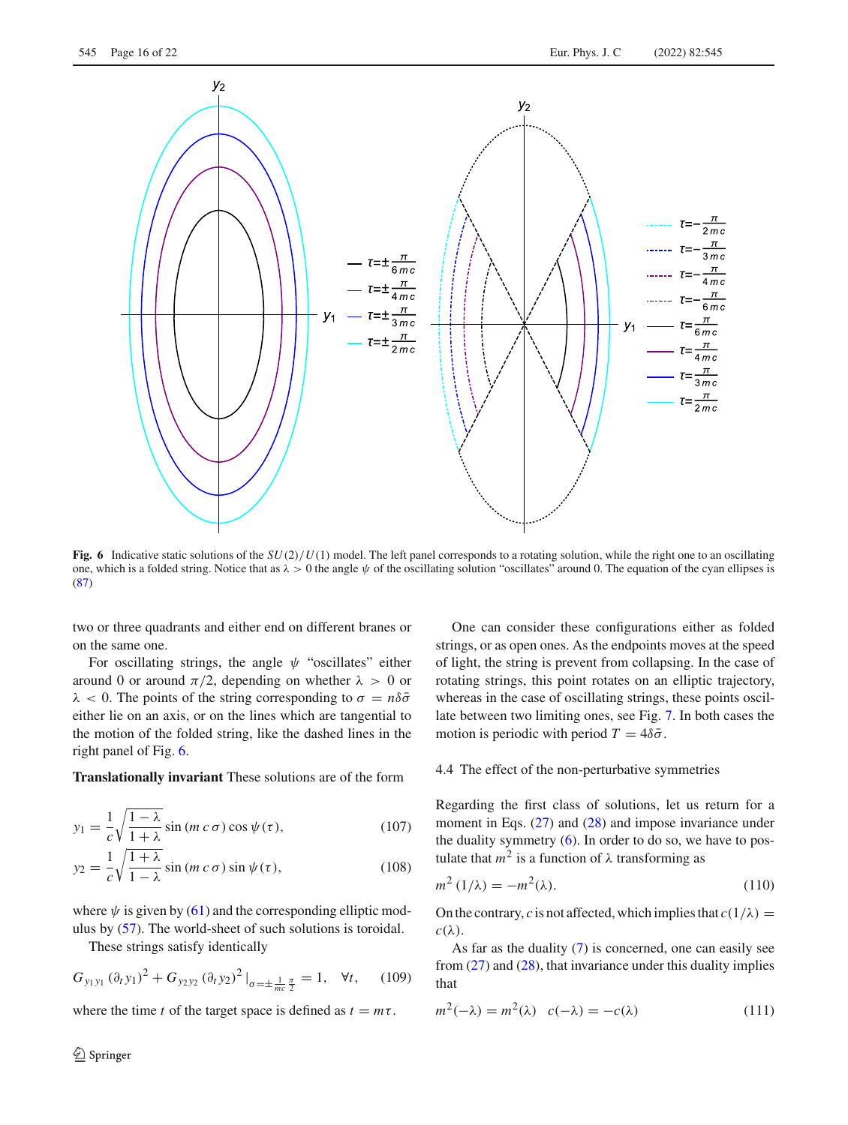

<span id="page-15-0"></span>**Fig. 6** Indicative static solutions of the  $SU(2)/U(1)$  model. The left panel corresponds to a rotating solution, while the right one to an oscillating one, which is a folded string. Notice that as  $\lambda > 0$  the angle  $\psi$  of the oscillating solution "oscillates" around 0. The equation of the cyan ellipses is [\(87\)](#page-10-1)

two or three quadrants and either end on different branes or on the same one.

For oscillating strings, the angle  $\psi$  "oscillates" either around 0 or around  $\pi/2$ , depending on whether  $\lambda > 0$  or  $\lambda$  < 0. The points of the string corresponding to  $\sigma = n\delta\bar{\sigma}$ either lie on an axis, or on the lines which are tangential to the motion of the folded string, like the dashed lines in the right panel of Fig. [6.](#page-15-0)

**Translationally invariant** These solutions are of the form

$$
y_1 = \frac{1}{c} \sqrt{\frac{1 - \lambda}{1 + \lambda}} \sin(m c \sigma) \cos \psi(\tau), \qquad (107)
$$

$$
y_2 = \frac{1}{c} \sqrt{\frac{1+\lambda}{1-\lambda}} \sin(m c \sigma) \sin \psi(\tau), \qquad (108)
$$

where  $\psi$  is given by [\(61\)](#page-6-6) and the corresponding elliptic modulus by [\(57\)](#page-6-7). The world-sheet of such solutions is toroidal.

These strings satisfy identically

$$
G_{y_1y_1} (\partial_t y_1)^2 + G_{y_2y_2} (\partial_t y_2)^2 |_{\sigma = \pm \frac{1}{mc} \frac{\pi}{2}} = 1, \quad \forall t, \quad (109)
$$

where the time *t* of the target space is defined as  $t = m\tau$ .

One can consider these configurations either as folded strings, or as open ones. As the endpoints moves at the speed of light, the string is prevent from collapsing. In the case of rotating strings, this point rotates on an elliptic trajectory, whereas in the case of oscillating strings, these points oscillate between two limiting ones, see Fig. [7.](#page-16-1) In both cases the motion is periodic with period  $T = 4\delta\bar{\sigma}$ .

# 4.4 The effect of the non-perturbative symmetries

Regarding the first class of solutions, let us return for a moment in Eqs. [\(27\)](#page-3-2) and [\(28\)](#page-3-5) and impose invariance under the duality symmetry [\(6\)](#page-1-7). In order to do so, we have to postulate that  $m^2$  is a function of  $\lambda$  transforming as

$$
m^2(1/\lambda) = -m^2(\lambda). \tag{110}
$$

On the contrary, *c* is not affected, which implies that  $c(1/\lambda)$  =  $c(\lambda)$ .

As far as the duality [\(7\)](#page-1-8) is concerned, one can easily see from  $(27)$  and  $(28)$ , that invariance under this duality implies that

$$
m^{2}(-\lambda) = m^{2}(\lambda) \quad c(-\lambda) = -c(\lambda) \tag{111}
$$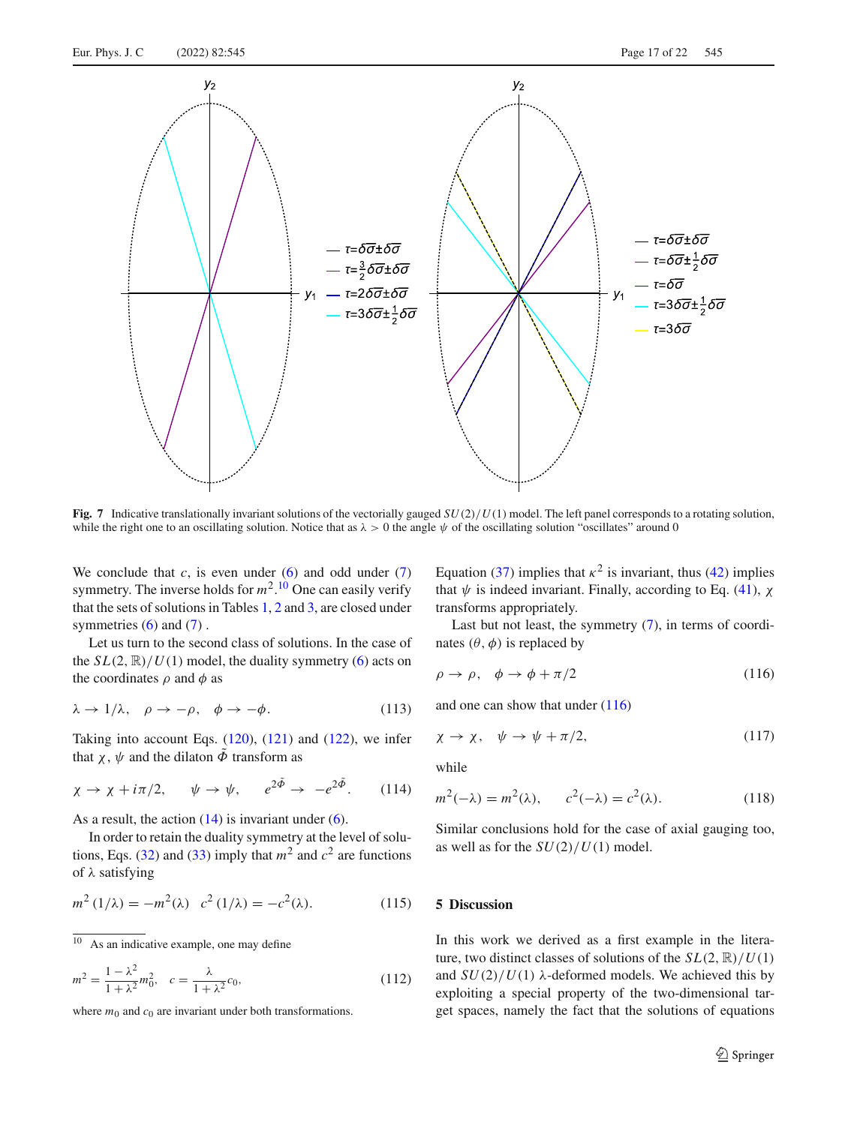

<span id="page-16-1"></span>**Fig. 7** Indicative translationally invariant solutions of the vectorially gauged *SU*(2)/*U*(1) model. The left panel corresponds to a rotating solution, while the right one to an oscillating solution. Notice that as  $\lambda > 0$  the angle  $\psi$  of the oscillating solution "oscillates" around 0

We conclude that  $c$ , is even under  $(6)$  and odd under  $(7)$ symmetry. The inverse holds for  $m^2$ .<sup>[10](#page-16-2)</sup> One can easily verify that the sets of solutions in Tables [1,](#page-4-0) [2](#page-5-0) and [3,](#page-5-1) are closed under symmetries  $(6)$  and  $(7)$ .

Let us turn to the second class of solutions. In the case of the  $SL(2, \mathbb{R})/U(1)$  model, the duality symmetry [\(6\)](#page-1-7) acts on the coordinates  $\rho$  and  $\phi$  as

$$
\lambda \to 1/\lambda, \quad \rho \to -\rho, \quad \phi \to -\phi. \tag{113}
$$

Taking into account Eqs.  $(120)$ ,  $(121)$  and  $(122)$ , we infer that  $\chi$ ,  $\psi$  and the dilaton  $\tilde{\Phi}$  transform as

$$
\chi \to \chi + i\pi/2, \qquad \psi \to \psi, \qquad e^{2\tilde{\Phi}} \to -e^{2\tilde{\Phi}}. \tag{114}
$$

As a result, the action  $(14)$  is invariant under  $(6)$ .

In order to retain the duality symmetry at the level of solu-tions, Eqs. [\(32\)](#page-4-2) and [\(33\)](#page-4-4) imply that  $m^2$  and  $c^2$  are functions of λ satisfying

$$
m^{2}(1/\lambda) = -m^{2}(\lambda) \ c^{2}(1/\lambda) = -c^{2}(\lambda). \qquad (115)
$$

$$
m^{2} = \frac{1 - \lambda^{2}}{1 + \lambda^{2}} m_{0}^{2}, \quad c = \frac{\lambda}{1 + \lambda^{2}} c_{0}, \tag{112}
$$

where  $m_0$  and  $c_0$  are invariant under both transformations.

Equation [\(37\)](#page-4-3) implies that  $\kappa^2$  is invariant, thus [\(42\)](#page-5-10) implies that  $\psi$  is indeed invariant. Finally, according to Eq. [\(41\)](#page-5-9),  $\chi$ transforms appropriately.

Last but not least, the symmetry [\(7\)](#page-1-8), in terms of coordinates  $(\theta, \phi)$  is replaced by

<span id="page-16-3"></span>
$$
\rho \to \rho, \quad \phi \to \phi + \pi/2 \tag{116}
$$

and one can show that under [\(116\)](#page-16-3)

$$
\chi \to \chi, \quad \psi \to \psi + \pi/2, \tag{117}
$$

while

$$
m2(-\lambda) = m2(\lambda), \qquad c2(-\lambda) = c2(\lambda).
$$
 (118)

Similar conclusions hold for the case of axial gauging too, as well as for the  $SU(2)/U(1)$  model.

# <span id="page-16-0"></span>**5 Discussion**

In this work we derived as a first example in the literature, two distinct classes of solutions of the  $SL(2, \mathbb{R})/U(1)$ and  $SU(2)/U(1)$   $\lambda$ -deformed models. We achieved this by exploiting a special property of the two-dimensional target spaces, namely the fact that the solutions of equations

<span id="page-16-2"></span> $\overline{10}$  As an indicative example, one may define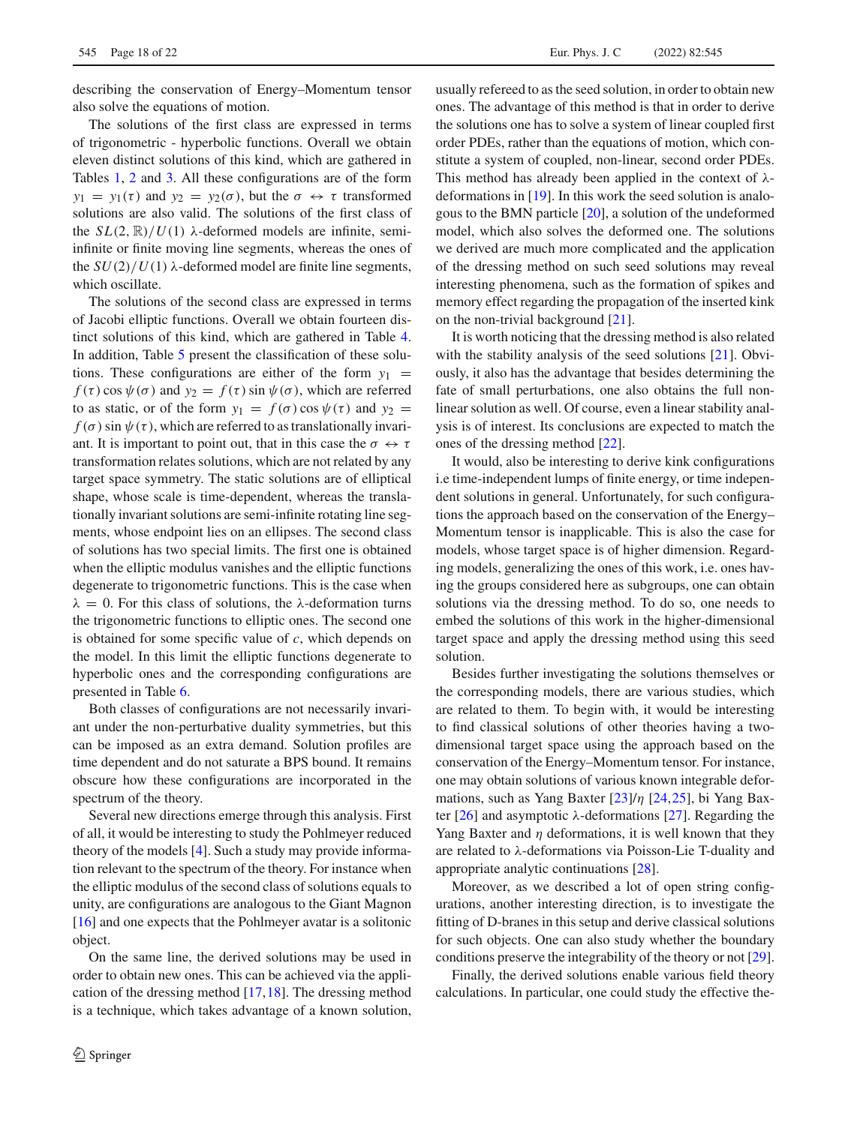describing the conservation of Energy–Momentum tensor also solve the equations of motion.

The solutions of the first class are expressed in terms of trigonometric - hyperbolic functions. Overall we obtain eleven distinct solutions of this kind, which are gathered in Tables [1,](#page-4-0) [2](#page-5-0) and [3.](#page-5-1) All these configurations are of the form  $y_1 = y_1(\tau)$  and  $y_2 = y_2(\sigma)$ , but the  $\sigma \leftrightarrow \tau$  transformed solutions are also valid. The solutions of the first class of the  $SL(2, \mathbb{R})/U(1)$   $\lambda$ -deformed models are infinite, semiinfinite or finite moving line segments, whereas the ones of the  $SU(2)/U(1)$   $\lambda$ -deformed model are finite line segments, which oscillate.

The solutions of the second class are expressed in terms of Jacobi elliptic functions. Overall we obtain fourteen distinct solutions of this kind, which are gathered in Table [4.](#page-7-0) In addition, Table [5](#page-7-1) present the classification of these solutions. These configurations are either of the form  $y_1$  =  $f(\tau)$  cos  $\psi(\sigma)$  and  $y_2 = f(\tau)$  sin  $\psi(\sigma)$ , which are referred to as static, or of the form  $y_1 = f(\sigma) \cos \psi(\tau)$  and  $y_2 =$  $f(\sigma)$  sin  $\psi(\tau)$ , which are referred to as translationally invariant. It is important to point out, that in this case the  $\sigma \leftrightarrow \tau$ transformation relates solutions, which are not related by any target space symmetry. The static solutions are of elliptical shape, whose scale is time-dependent, whereas the translationally invariant solutions are semi-infinite rotating line segments, whose endpoint lies on an ellipses. The second class of solutions has two special limits. The first one is obtained when the elliptic modulus vanishes and the elliptic functions degenerate to trigonometric functions. This is the case when  $\lambda = 0$ . For this class of solutions, the  $\lambda$ -deformation turns the trigonometric functions to elliptic ones. The second one is obtained for some specific value of *c*, which depends on the model. In this limit the elliptic functions degenerate to hyperbolic ones and the corresponding configurations are presented in Table [6.](#page-8-0)

Both classes of configurations are not necessarily invariant under the non-perturbative duality symmetries, but this can be imposed as an extra demand. Solution profiles are time dependent and do not saturate a BPS bound. It remains obscure how these configurations are incorporated in the spectrum of the theory.

Several new directions emerge through this analysis. First of all, it would be interesting to study the Pohlmeyer reduced theory of the models [\[4](#page-21-1)]. Such a study may provide information relevant to the spectrum of the theory. For instance when the elliptic modulus of the second class of solutions equals to unity, are configurations are analogous to the Giant Magnon [\[16](#page-21-11)] and one expects that the Pohlmeyer avatar is a solitonic object.

On the same line, the derived solutions may be used in order to obtain new ones. This can be achieved via the application of the dressing method [\[17](#page-21-12),[18\]](#page-21-13). The dressing method is a technique, which takes advantage of a known solution,

usually refereed to as the seed solution, in order to obtain new ones. The advantage of this method is that in order to derive the solutions one has to solve a system of linear coupled first order PDEs, rather than the equations of motion, which constitute a system of coupled, non-linear, second order PDEs. This method has already been applied in the context of  $\lambda$ deformations in [\[19](#page-21-14)]. In this work the seed solution is analogous to the BMN particle [\[20](#page-21-15)], a solution of the undeformed model, which also solves the deformed one. The solutions we derived are much more complicated and the application of the dressing method on such seed solutions may reveal interesting phenomena, such as the formation of spikes and memory effect regarding the propagation of the inserted kink on the non-trivial background [\[21](#page-21-16)].

It is worth noticing that the dressing method is also related with the stability analysis of the seed solutions [\[21](#page-21-16)]. Obviously, it also has the advantage that besides determining the fate of small perturbations, one also obtains the full nonlinear solution as well. Of course, even a linear stability analysis is of interest. Its conclusions are expected to match the ones of the dressing method [\[22\]](#page-21-17).

It would, also be interesting to derive kink configurations i.e time-independent lumps of finite energy, or time independent solutions in general. Unfortunately, for such configurations the approach based on the conservation of the Energy– Momentum tensor is inapplicable. This is also the case for models, whose target space is of higher dimension. Regarding models, generalizing the ones of this work, i.e. ones having the groups considered here as subgroups, one can obtain solutions via the dressing method. To do so, one needs to embed the solutions of this work in the higher-dimensional target space and apply the dressing method using this seed solution.

Besides further investigating the solutions themselves or the corresponding models, there are various studies, which are related to them. To begin with, it would be interesting to find classical solutions of other theories having a twodimensional target space using the approach based on the conservation of the Energy–Momentum tensor. For instance, one may obtain solutions of various known integrable deformations, such as Yang Baxter [\[23](#page-21-18)]/η [\[24](#page-21-19)[,25](#page-21-20)], bi Yang Bax-ter [\[26\]](#page-21-21) and asymptotic λ-deformations [\[27\]](#page-21-22). Regarding the Yang Baxter and  $\eta$  deformations, it is well known that they are related to λ-deformations via Poisson-Lie T-duality and appropriate analytic continuations [\[28\]](#page-21-23).

Moreover, as we described a lot of open string configurations, another interesting direction, is to investigate the fitting of D-branes in this setup and derive classical solutions for such objects. One can also study whether the boundary conditions preserve the integrability of the theory or not [\[29](#page-21-24)].

Finally, the derived solutions enable various field theory calculations. In particular, one could study the effective the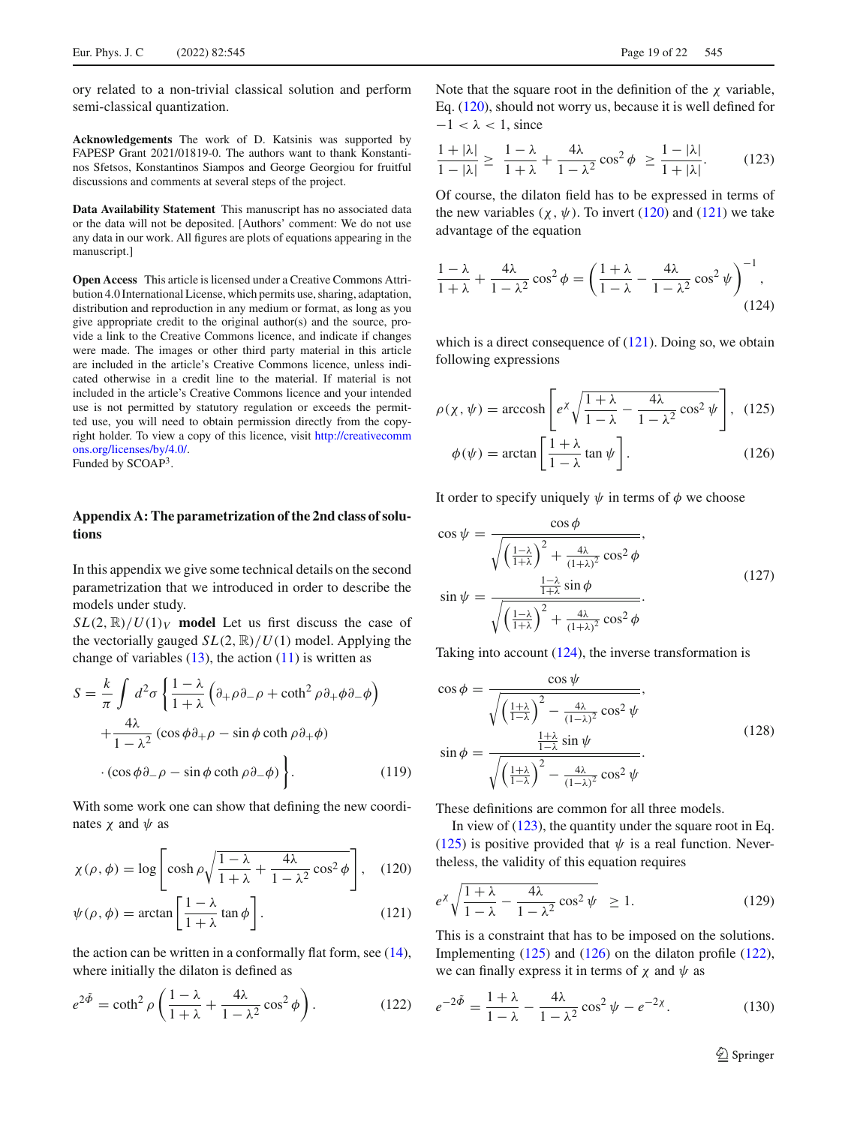ory related to a non-trivial classical solution and perform semi-classical quantization.

**Acknowledgements** The work of D. Katsinis was supported by FAPESP Grant 2021/01819-0. The authors want to thank Konstantinos Sfetsos, Konstantinos Siampos and George Georgiou for fruitful discussions and comments at several steps of the project.

**Data Availability Statement** This manuscript has no associated data or the data will not be deposited. [Authors' comment: We do not use any data in our work. All figures are plots of equations appearing in the manuscript.]

**Open Access** This article is licensed under a Creative Commons Attribution 4.0 International License, which permits use, sharing, adaptation, distribution and reproduction in any medium or format, as long as you give appropriate credit to the original author(s) and the source, provide a link to the Creative Commons licence, and indicate if changes were made. The images or other third party material in this article are included in the article's Creative Commons licence, unless indicated otherwise in a credit line to the material. If material is not included in the article's Creative Commons licence and your intended use is not permitted by statutory regulation or exceeds the permitted use, you will need to obtain permission directly from the copyright holder. To view a copy of this licence, visit [http://creativecomm](http://creativecommons.org/licenses/by/4.0/) [ons.org/licenses/by/4.0/.](http://creativecommons.org/licenses/by/4.0/) Funded by SCOAP3.

# **Appendix A: The parametrization of the 2nd class of solutions**

In this appendix we give some technical details on the second parametrization that we introduced in order to describe the models under study.

 $SL(2, \mathbb{R})/U(1)_V$  model Let us first discuss the case of the vectorially gauged  $SL(2, \mathbb{R})/U(1)$  model. Applying the change of variables  $(13)$ , the action  $(11)$  is written as

<span id="page-18-9"></span>
$$
S = \frac{k}{\pi} \int d^2 \sigma \left\{ \frac{1 - \lambda}{1 + \lambda} \left( \partial_+ \rho \partial_- \rho + \coth^2 \rho \partial_+ \phi \partial_- \phi \right) + \frac{4\lambda}{1 - \lambda^2} \left( \cos \phi \partial_+ \rho - \sin \phi \coth \rho \partial_+ \phi \right) \right\}.
$$
  
(cos  $\phi \partial_- \rho - \sin \phi \coth \rho \partial_- \phi$ ) \t(119)

With some work one can show that defining the new coordinates  $\chi$  and  $\psi$  as

$$
\chi(\rho,\phi) = \log \left[ \cosh \rho \sqrt{\frac{1-\lambda}{1+\lambda} + \frac{4\lambda}{1-\lambda^2} \cos^2 \phi} \right], \quad (120)
$$

$$
\psi(\rho,\phi) = \arctan\left[\frac{1-\lambda}{1+\lambda}\tan\phi\right].
$$
\n(121)

the action can be written in a conformally flat form, see [\(14\)](#page-2-5), where initially the dilaton is defined as

<span id="page-18-5"></span>
$$
e^{2\tilde{\Phi}} = \coth^2 \rho \left( \frac{1-\lambda}{1+\lambda} + \frac{4\lambda}{1-\lambda^2} \cos^2 \phi \right). \tag{122}
$$

Note that the square root in the definition of the  $\chi$  variable. Eq. [\(120\)](#page-18-1), should not worry us, because it is well defined for  $-1 < \lambda < 1$ , since

<span id="page-18-2"></span>
$$
\frac{1+|\lambda|}{1-|\lambda|} \ge \frac{1-\lambda}{1+\lambda} + \frac{4\lambda}{1-\lambda^2} \cos^2 \phi \ge \frac{1-|\lambda|}{1+|\lambda|}. \tag{123}
$$

Of course, the dilaton field has to be expressed in terms of the new variables  $(\chi, \psi)$ . To invert [\(120\)](#page-18-1) and [\(121\)](#page-18-0) we take advantage of the equation

<span id="page-18-6"></span>
$$
\frac{1-\lambda}{1+\lambda} + \frac{4\lambda}{1-\lambda^2} \cos^2 \phi = \left(\frac{1+\lambda}{1-\lambda} - \frac{4\lambda}{1-\lambda^2} \cos^2 \psi\right)^{-1},\tag{124}
$$

which is a direct consequence of [\(121\)](#page-18-0). Doing so, we obtain following expressions

<span id="page-18-7"></span><span id="page-18-4"></span>
$$
\rho(\chi, \psi) = \operatorname{arccosh}\left[e^{\chi} \sqrt{\frac{1+\lambda}{1-\lambda} - \frac{4\lambda}{1-\lambda^2} \cos^2 \psi}\right], \quad (125)
$$

$$
\phi(\psi) = \arctan\left[\frac{1+\lambda}{1-\lambda} \tan \psi\right]. \quad (126)
$$

It order to specify uniquely  $\psi$  in terms of  $\phi$  we choose

$$
\cos \psi = \frac{\cos \phi}{\sqrt{\left(\frac{1-\lambda}{1+\lambda}\right)^2 + \frac{4\lambda}{(1+\lambda)^2} \cos^2 \phi}},
$$

$$
\sin \psi = \frac{\frac{1-\lambda}{1+\lambda} \sin \phi}{\sqrt{\left(\frac{1-\lambda}{1+\lambda}\right)^2 + \frac{4\lambda}{(1+\lambda)^2} \cos^2 \phi}}.
$$
(127)

Taking into account [\(124\)](#page-18-6), the inverse transformation is

<span id="page-18-3"></span>
$$
\cos \phi = \frac{\cos \psi}{\sqrt{\left(\frac{1+\lambda}{1-\lambda}\right)^2 - \frac{4\lambda}{(1-\lambda)^2} \cos^2 \psi}},
$$

$$
\sin \phi = \frac{\frac{1+\lambda}{1-\lambda} \sin \psi}{\sqrt{\left(\frac{1+\lambda}{1-\lambda}\right)^2 - \frac{4\lambda}{(1-\lambda)^2} \cos^2 \psi}}.
$$
(128)

These definitions are common for all three models.

<span id="page-18-1"></span>In view of  $(123)$ , the quantity under the square root in Eq. [\(125\)](#page-18-4) is positive provided that  $\psi$  is a real function. Nevertheless, the validity of this equation requires

<span id="page-18-8"></span><span id="page-18-0"></span>
$$
e^{\chi} \sqrt{\frac{1+\lambda}{1-\lambda} - \frac{4\lambda}{1-\lambda^2} \cos^2 \psi} \ge 1.
$$
 (129)

This is a constraint that has to be imposed on the solutions. Implementing [\(125\)](#page-18-4) and [\(126\)](#page-18-7) on the dilaton profile [\(122\)](#page-18-5), we can finally express it in terms of  $\chi$  and  $\psi$  as

$$
e^{-2\tilde{\Phi}} = \frac{1+\lambda}{1-\lambda} - \frac{4\lambda}{1-\lambda^2} \cos^2 \psi - e^{-2\chi}.
$$
 (130)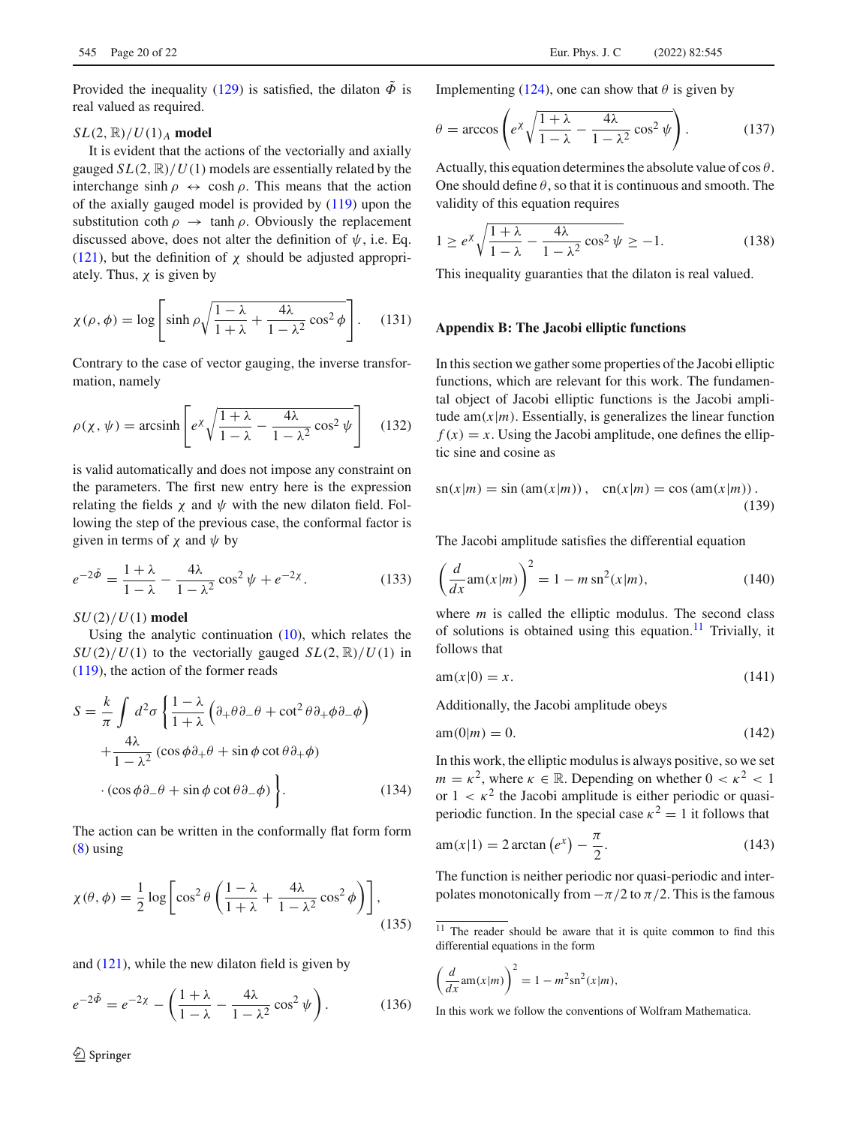Provided the inequality [\(129\)](#page-18-8) is satisfied, the dilaton  $\tilde{\Phi}$  is real valued as required.

## $SL(2, \mathbb{R})/U(1)$ <sub>*A*</sub> **model**

It is evident that the actions of the vectorially and axially gauged  $SL(2, \mathbb{R})/U(1)$  models are essentially related by the interchange sinh  $\rho \leftrightarrow \cosh \rho$ . This means that the action of the axially gauged model is provided by [\(119\)](#page-18-9) upon the substitution coth  $\rho \rightarrow \tanh \rho$ . Obviously the replacement discussed above, does not alter the definition of  $\psi$ , i.e. Eq. [\(121\)](#page-18-0), but the definition of  $\chi$  should be adjusted appropriately. Thus,  $\chi$  is given by

<span id="page-19-1"></span>
$$
\chi(\rho,\phi) = \log \left[ \sinh \rho \sqrt{\frac{1-\lambda}{1+\lambda} + \frac{4\lambda}{1-\lambda^2} \cos^2 \phi} \right].
$$
 (131)

Contrary to the case of vector gauging, the inverse transformation, namely

<span id="page-19-3"></span>
$$
\rho(\chi, \psi) = \operatorname{arcsinh}\left[e^{\chi} \sqrt{\frac{1+\lambda}{1-\lambda} - \frac{4\lambda}{1-\lambda^2} \cos^2 \psi}\right]
$$
(132)

is valid automatically and does not impose any constraint on the parameters. The first new entry here is the expression relating the fields  $\chi$  and  $\psi$  with the new dilaton field. Following the step of the previous case, the conformal factor is given in terms of  $\chi$  and  $\psi$  by

$$
e^{-2\tilde{\Phi}} = \frac{1+\lambda}{1-\lambda} - \frac{4\lambda}{1-\lambda^2} \cos^2 \psi + e^{-2\chi}.
$$
 (133)

*SU*(2)/*U*(1) **model**

Using the analytic continuation [\(10\)](#page-1-10), which relates the  $SU(2)/U(1)$  to the vectorially gauged  $SL(2, \mathbb{R})/U(1)$  in [\(119\)](#page-18-9), the action of the former reads

$$
S = \frac{k}{\pi} \int d^2 \sigma \left\{ \frac{1 - \lambda}{1 + \lambda} \left( \partial_+ \theta \partial_- \theta + \cot^2 \theta \partial_+ \phi \partial_- \phi \right) + \frac{4\lambda}{1 - \lambda^2} \left( \cos \phi \partial_+ \theta + \sin \phi \cot \theta \partial_+ \phi \right) \right.
$$
  
 
$$
\cdot \left( \cos \phi \partial_- \theta + \sin \phi \cot \theta \partial_- \phi \right) \Bigg\}.
$$
 (134)

The action can be written in the conformally flat form form [\(8\)](#page-1-6) using

$$
\chi(\theta,\phi) = \frac{1}{2}\log\left[\cos^2\theta\left(\frac{1-\lambda}{1+\lambda} + \frac{4\lambda}{1-\lambda^2}\cos^2\phi\right)\right],\tag{135}
$$

and  $(121)$ , while the new dilaton field is given by

$$
e^{-2\tilde{\Phi}} = e^{-2\chi} - \left(\frac{1+\lambda}{1-\lambda} - \frac{4\lambda}{1-\lambda^2}\cos^2\psi\right). \tag{136}
$$

Implementing [\(124\)](#page-18-6), one can show that  $\theta$  is given by

<span id="page-19-4"></span>
$$
\theta = \arccos\left(e^{\chi}\sqrt{\frac{1+\lambda}{1-\lambda} - \frac{4\lambda}{1-\lambda^2}\cos^2\psi}\right).
$$
 (137)

Actually, this equation determines the absolute value of  $\cos \theta$ . One should define  $\theta$ , so that it is continuous and smooth. The validity of this equation requires

$$
1 \ge e^{\chi} \sqrt{\frac{1+\lambda}{1-\lambda} - \frac{4\lambda}{1-\lambda^2} \cos^2 \psi} \ge -1.
$$
 (138)

This inequality guaranties that the dilaton is real valued.

#### **Appendix B: The Jacobi elliptic functions**

In this section we gather some properties of the Jacobi elliptic functions, which are relevant for this work. The fundamental object of Jacobi elliptic functions is the Jacobi amplitude am $(x|m)$ . Essentially, is generalizes the linear function  $f(x) = x$ . Using the Jacobi amplitude, one defines the elliptic sine and cosine as

$$
sn(x|m) = sin (am(x|m)), cn(x|m) = cos (am(x|m)).
$$
\n(139)

The Jacobi amplitude satisfies the differential equation

<span id="page-19-2"></span>
$$
\left(\frac{d}{dx}\mathrm{am}(x|m)\right)^2 = 1 - m\,\mathrm{sn}^2(x|m),\tag{140}
$$

where *m* is called the elliptic modulus. The second class of solutions is obtained using this equation.<sup>[11](#page-19-7)</sup> Trivially, it follows that

<span id="page-19-5"></span>
$$
am(x|0) = x.\t(141)
$$

Additionally, the Jacobi amplitude obeys

$$
am(0|m) = 0.\t(142)
$$

In this work, the elliptic modulus is always positive, so we set  $m = \kappa^2$ , where  $\kappa \in \mathbb{R}$ . Depending on whether  $0 < \kappa^2 < 1$ or  $1 < \kappa^2$  the Jacobi amplitude is either periodic or quasiperiodic function. In the special case  $\kappa^2 = 1$  it follows that

<span id="page-19-6"></span>
$$
am(x|1) = 2\arctan(e^x) - \frac{\pi}{2}.
$$
\n(143)

<span id="page-19-0"></span>The function is neither periodic nor quasi-periodic and interpolates monotonically from  $-\pi/2$  to  $\pi/2$ . This is the famous

$$
\left(\frac{d}{dx}\mathrm{am}(x|m)\right)^2 = 1 - m^2 \mathrm{sn}^2(x|m),
$$

<span id="page-19-7"></span> $\frac{11}{11}$  The reader should be aware that it is quite common to find this differential equations in the form

In this work we follow the conventions of Wolfram Mathematica.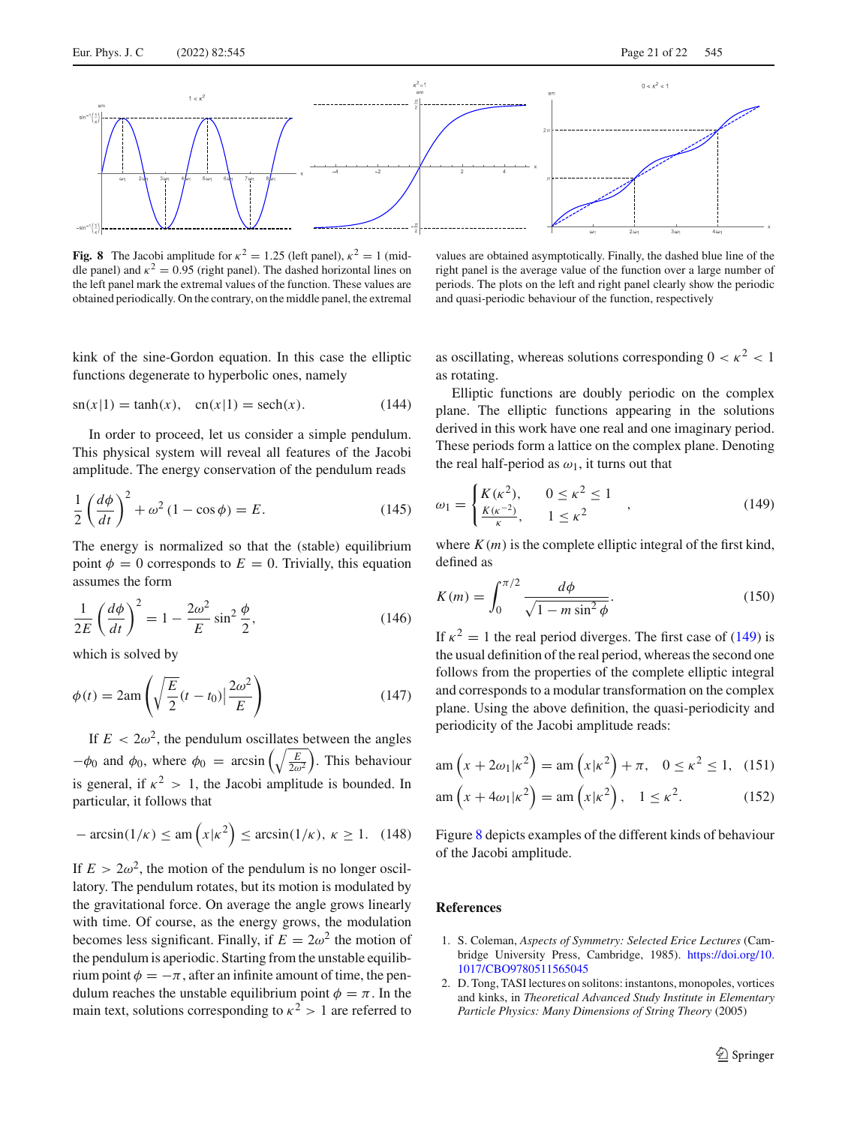

<span id="page-20-3"></span>**Fig. 8** The Jacobi amplitude for  $\kappa^2 = 1.25$  (left panel),  $\kappa^2 = 1$  (middle panel) and  $\kappa^2 = 0.95$  (right panel). The dashed horizontal lines on the left panel mark the extremal values of the function. These values are obtained periodically. On the contrary, on the middle panel, the extremal

kink of the sine-Gordon equation. In this case the elliptic functions degenerate to hyperbolic ones, namely

$$
sn(x|1) = tanh(x), cn(x|1) = sech(x).
$$
 (144)

In order to proceed, let us consider a simple pendulum. This physical system will reveal all features of the Jacobi amplitude. The energy conservation of the pendulum reads

$$
\frac{1}{2}\left(\frac{d\phi}{dt}\right)^2 + \omega^2 (1 - \cos\phi) = E.
$$
 (145)

The energy is normalized so that the (stable) equilibrium point  $\phi = 0$  corresponds to  $E = 0$ . Trivially, this equation assumes the form

$$
\frac{1}{2E} \left(\frac{d\phi}{dt}\right)^2 = 1 - \frac{2\omega^2}{E} \sin^2 \frac{\phi}{2},\tag{146}
$$

which is solved by

$$
\phi(t) = 2 \text{am} \left( \sqrt{\frac{E}{2}} (t - t_0) \Big| \frac{2\omega^2}{E} \right) \tag{147}
$$

If  $E < 2\omega^2$ , the pendulum oscillates between the angles  $-\phi_0$  and  $\phi_0$ , where  $\phi_0 = \arcsin\left(\sqrt{\frac{E}{2\omega^2}}\right)$ . This behaviour is general, if  $\kappa^2 > 1$ , the Jacobi amplitude is bounded. In particular, it follows that

<span id="page-20-4"></span>
$$
-\arcsin(1/\kappa) \le \operatorname{am}\left(x|\kappa^2\right) \le \arcsin(1/\kappa), \ \kappa \ge 1. \tag{148}
$$

If  $E > 2\omega^2$ , the motion of the pendulum is no longer oscillatory. The pendulum rotates, but its motion is modulated by the gravitational force. On average the angle grows linearly with time. Of course, as the energy grows, the modulation becomes less significant. Finally, if  $E = 2\omega^2$  the motion of the pendulum is aperiodic. Starting from the unstable equilibrium point  $\phi = -\pi$ , after an infinite amount of time, the pendulum reaches the unstable equilibrium point  $\phi = \pi$ . In the main text, solutions corresponding to  $\kappa^2 > 1$  are referred to

values are obtained asymptotically. Finally, the dashed blue line of the right panel is the average value of the function over a large number of periods. The plots on the left and right panel clearly show the periodic and quasi-periodic behaviour of the function, respectively

as oscillating, whereas solutions corresponding  $0 < \kappa^2 < 1$ as rotating.

Elliptic functions are doubly periodic on the complex plane. The elliptic functions appearing in the solutions derived in this work have one real and one imaginary period. These periods form a lattice on the complex plane. Denoting the real half-period as  $\omega_1$ , it turns out that

<span id="page-20-2"></span>
$$
\omega_1 = \begin{cases} K(\kappa^2), & 0 \le \kappa^2 \le 1 \\ \frac{K(\kappa^{-2})}{\kappa}, & 1 \le \kappa^2 \end{cases}
$$
 (149)

where  $K(m)$  is the complete elliptic integral of the first kind, defined as

$$
K(m) = \int_0^{\pi/2} \frac{d\phi}{\sqrt{1 - m \sin^2 \phi}}.
$$
 (150)

If  $\kappa^2 = 1$  the real period diverges. The first case of [\(149\)](#page-20-2) is the usual definition of the real period, whereas the second one follows from the properties of the complete elliptic integral and corresponds to a modular transformation on the complex plane. Using the above definition, the quasi-periodicity and periodicity of the Jacobi amplitude reads:

$$
\operatorname{am}\left(x + 2\omega_1|\kappa^2\right) = \operatorname{am}\left(x|\kappa^2\right) + \pi, \quad 0 \le \kappa^2 \le 1, \quad (151)
$$

$$
am\left(x + 4\omega_1|\kappa^2\right) = am\left(x|\kappa^2\right), \quad 1 \le \kappa^2. \tag{152}
$$

Figure [8](#page-20-3) depicts examples of the different kinds of behaviour of the Jacobi amplitude.

## **References**

- <span id="page-20-0"></span>1. S. Coleman, *Aspects of Symmetry: Selected Erice Lectures* (Cambridge University Press, Cambridge, 1985). [https://doi.org/10.](https://doi.org/10.1017/CBO9780511565045) [1017/CBO9780511565045](https://doi.org/10.1017/CBO9780511565045)
- <span id="page-20-1"></span>2. D. Tong, TASI lectures on solitons: instantons, monopoles, vortices and kinks, in *Theoretical Advanced Study Institute in Elementary Particle Physics: Many Dimensions of String Theory* (2005)